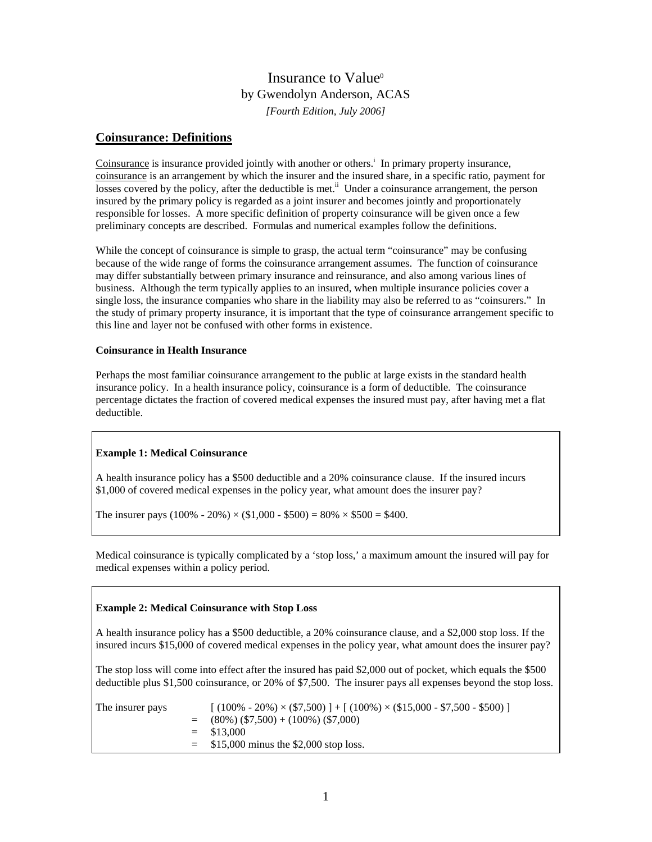# Insurance to Value<sup>®</sup> by Gwendolyn Anderson, ACAS *[Fourth Edition, July 2006]*

## **Coinsurance: Definitions**

Coinsurance is insurance provided jointly with another or others.<sup>i</sup> In primary property insurance, coinsurance is an arrangement by which the insurer and the insured share, in a specific ratio, payment for losses covered by the policy, after the deductible is met.<sup>ii</sup> Under a coinsurance arrangement, the person insured by the primary policy is regarded as a joint insurer and becomes jointly and proportionately responsible for losses. A more specific definition of property coinsurance will be given once a few preliminary concepts are described. Formulas and numerical examples follow the definitions.

While the concept of coinsurance is simple to grasp, the actual term "coinsurance" may be confusing because of the wide range of forms the coinsurance arrangement assumes. The function of coinsurance may differ substantially between primary insurance and reinsurance, and also among various lines of business. Although the term typically applies to an insured, when multiple insurance policies cover a single loss, the insurance companies who share in the liability may also be referred to as "coinsurers." In the study of primary property insurance, it is important that the type of coinsurance arrangement specific to this line and layer not be confused with other forms in existence.

### **Coinsurance in Health Insurance**

Perhaps the most familiar coinsurance arrangement to the public at large exists in the standard health insurance policy. In a health insurance policy, coinsurance is a form of deductible. The coinsurance percentage dictates the fraction of covered medical expenses the insured must pay, after having met a flat deductible.

#### **Example 1: Medical Coinsurance**

A health insurance policy has a \$500 deductible and a 20% coinsurance clause. If the insured incurs \$1,000 of covered medical expenses in the policy year, what amount does the insurer pay?

The insurer pays  $(100\% - 20\%) \times (\$1,000 - \$500) = 80\% \times \$500 = \$400$ .

Medical coinsurance is typically complicated by a 'stop loss,' a maximum amount the insured will pay for medical expenses within a policy period.

#### **Example 2: Medical Coinsurance with Stop Loss**

A health insurance policy has a \$500 deductible, a 20% coinsurance clause, and a \$2,000 stop loss. If the insured incurs \$15,000 of covered medical expenses in the policy year, what amount does the insurer pay?

The stop loss will come into effect after the insured has paid \$2,000 out of pocket, which equals the \$500 deductible plus \$1,500 coinsurance, or 20% of \$7,500. The insurer pays all expenses beyond the stop loss.

| The insurer pays | $(100\% - 20\%) \times (\$7,500)$ + $(100\%) \times (\$15,000 - \$7,500 - \$500)$ ] |
|------------------|-------------------------------------------------------------------------------------|
|                  | $=$ (80%) (\$7,500) + (100%) (\$7,000)                                              |
|                  | $=$ \$13,000                                                                        |
|                  | $=$ \$15,000 minus the \$2,000 stop loss.                                           |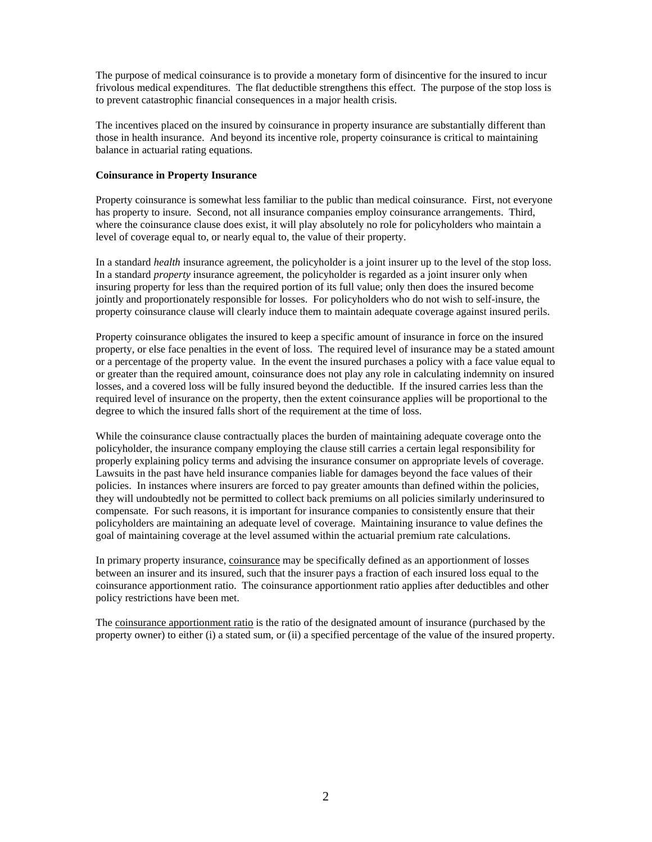The purpose of medical coinsurance is to provide a monetary form of disincentive for the insured to incur frivolous medical expenditures. The flat deductible strengthens this effect. The purpose of the stop loss is to prevent catastrophic financial consequences in a major health crisis.

The incentives placed on the insured by coinsurance in property insurance are substantially different than those in health insurance. And beyond its incentive role, property coinsurance is critical to maintaining balance in actuarial rating equations.

## **Coinsurance in Property Insurance**

Property coinsurance is somewhat less familiar to the public than medical coinsurance. First, not everyone has property to insure. Second, not all insurance companies employ coinsurance arrangements. Third, where the coinsurance clause does exist, it will play absolutely no role for policyholders who maintain a level of coverage equal to, or nearly equal to, the value of their property.

In a standard *health* insurance agreement, the policyholder is a joint insurer up to the level of the stop loss. In a standard *property* insurance agreement, the policyholder is regarded as a joint insurer only when insuring property for less than the required portion of its full value; only then does the insured become jointly and proportionately responsible for losses. For policyholders who do not wish to self-insure, the property coinsurance clause will clearly induce them to maintain adequate coverage against insured perils.

Property coinsurance obligates the insured to keep a specific amount of insurance in force on the insured property, or else face penalties in the event of loss. The required level of insurance may be a stated amount or a percentage of the property value. In the event the insured purchases a policy with a face value equal to or greater than the required amount, coinsurance does not play any role in calculating indemnity on insured losses, and a covered loss will be fully insured beyond the deductible. If the insured carries less than the required level of insurance on the property, then the extent coinsurance applies will be proportional to the degree to which the insured falls short of the requirement at the time of loss.

While the coinsurance clause contractually places the burden of maintaining adequate coverage onto the policyholder, the insurance company employing the clause still carries a certain legal responsibility for properly explaining policy terms and advising the insurance consumer on appropriate levels of coverage. Lawsuits in the past have held insurance companies liable for damages beyond the face values of their policies. In instances where insurers are forced to pay greater amounts than defined within the policies, they will undoubtedly not be permitted to collect back premiums on all policies similarly underinsured to compensate. For such reasons, it is important for insurance companies to consistently ensure that their policyholders are maintaining an adequate level of coverage. Maintaining insurance to value defines the goal of maintaining coverage at the level assumed within the actuarial premium rate calculations.

In primary property insurance, coinsurance may be specifically defined as an apportionment of losses between an insurer and its insured, such that the insurer pays a fraction of each insured loss equal to the coinsurance apportionment ratio. The coinsurance apportionment ratio applies after deductibles and other policy restrictions have been met.

The coinsurance apportionment ratio is the ratio of the designated amount of insurance (purchased by the property owner) to either (i) a stated sum, or (ii) a specified percentage of the value of the insured property.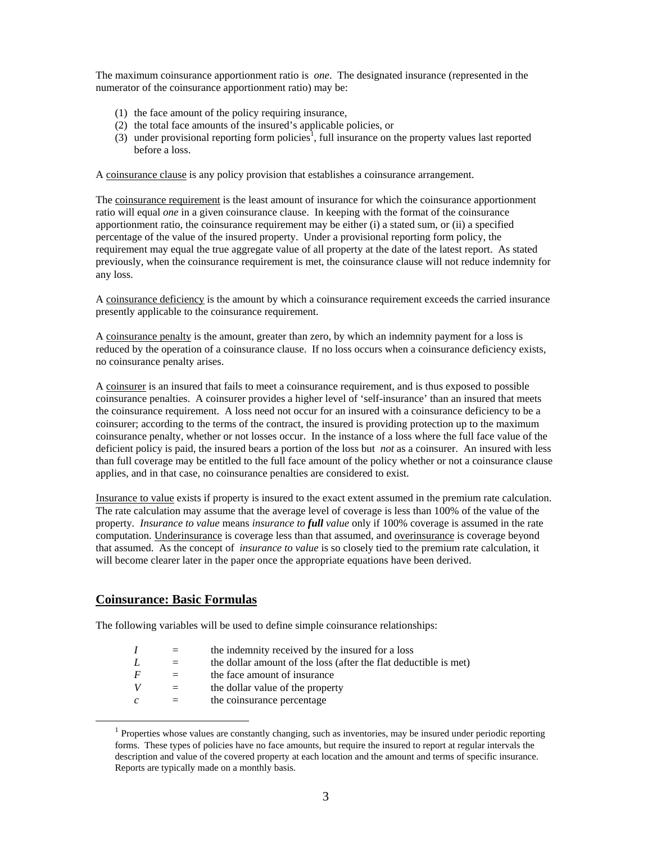The maximum coinsurance apportionment ratio is *one*. The designated insurance (represented in the numerator of the coinsurance apportionment ratio) may be:

- (1) the face amount of the policy requiring insurance,
- (2) the total face amounts of the insured's applicable policies, or
- (3) under provisional reporting form policies<sup>1</sup>, full insurance on the property values last reported before a loss.

A coinsurance clause is any policy provision that establishes a coinsurance arrangement.

The coinsurance requirement is the least amount of insurance for which the coinsurance apportionment ratio will equal *one* in a given coinsurance clause. In keeping with the format of the coinsurance apportionment ratio, the coinsurance requirement may be either (i) a stated sum, or (ii) a specified percentage of the value of the insured property. Under a provisional reporting form policy, the requirement may equal the true aggregate value of all property at the date of the latest report. As stated previously, when the coinsurance requirement is met, the coinsurance clause will not reduce indemnity for any loss.

A coinsurance deficiency is the amount by which a coinsurance requirement exceeds the carried insurance presently applicable to the coinsurance requirement.

A coinsurance penalty is the amount, greater than zero, by which an indemnity payment for a loss is reduced by the operation of a coinsurance clause. If no loss occurs when a coinsurance deficiency exists, no coinsurance penalty arises.

A coinsurer is an insured that fails to meet a coinsurance requirement, and is thus exposed to possible coinsurance penalties. A coinsurer provides a higher level of 'self-insurance' than an insured that meets the coinsurance requirement. A loss need not occur for an insured with a coinsurance deficiency to be a coinsurer; according to the terms of the contract, the insured is providing protection up to the maximum coinsurance penalty, whether or not losses occur. In the instance of a loss where the full face value of the deficient policy is paid, the insured bears a portion of the loss but *not* as a coinsurer. An insured with less than full coverage may be entitled to the full face amount of the policy whether or not a coinsurance clause applies, and in that case, no coinsurance penalties are considered to exist.

Insurance to value exists if property is insured to the exact extent assumed in the premium rate calculation. The rate calculation may assume that the average level of coverage is less than 100% of the value of the property*. Insurance to value* means *insurance to full value* only if 100% coverage is assumed in the rate computation. Underinsurance is coverage less than that assumed, and overinsurance is coverage beyond that assumed. As the concept of *insurance to value* is so closely tied to the premium rate calculation, it will become clearer later in the paper once the appropriate equations have been derived.

## **Coinsurance: Basic Formulas**

The following variables will be used to define simple coinsurance relationships:

|     |     | the indemnity received by the insured for a loss                 |
|-----|-----|------------------------------------------------------------------|
|     |     | the dollar amount of the loss (after the flat deductible is met) |
|     |     | the face amount of insurance                                     |
|     | $=$ | the dollar value of the property                                 |
| - C |     | the coinsurance percentage                                       |
|     |     |                                                                  |

<sup>&</sup>lt;sup>1</sup> Properties whose values are constantly changing, such as inventories, may be insured under periodic reporting forms. These types of policies have no face amounts, but require the insured to report at regular intervals the description and value of the covered property at each location and the amount and terms of specific insurance. Reports are typically made on a monthly basis.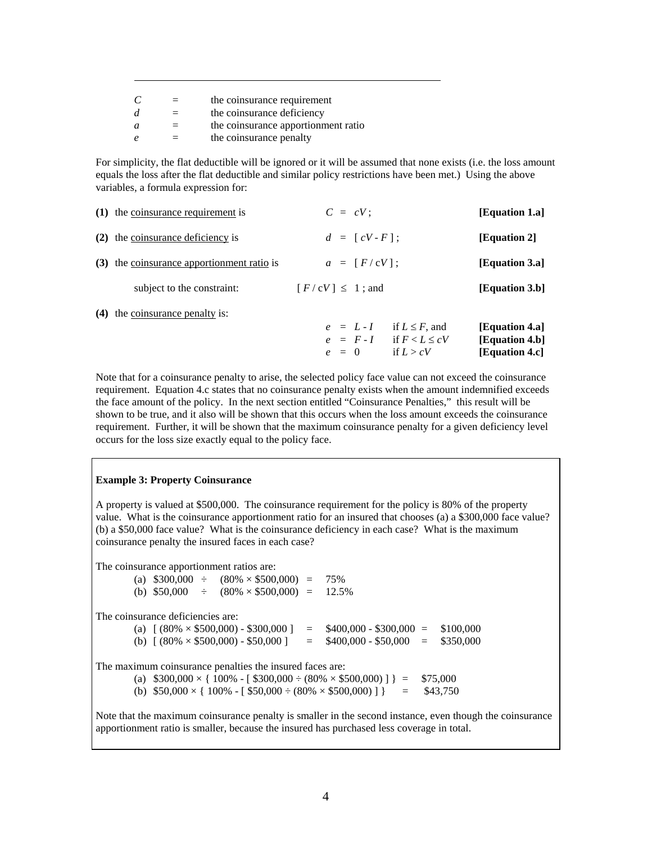|    | $=$ | the coinsurance requirement         |
|----|-----|-------------------------------------|
|    | $=$ | the coinsurance deficiency          |
| a. |     | the coinsurance apportionment ratio |
|    | $=$ | the coinsurance penalty             |

For simplicity, the flat deductible will be ignored or it will be assumed that none exists (i.e. the loss amount equals the loss after the flat deductible and similar policy restrictions have been met.) Using the above variables, a formula expression for:

| (1) the coinsurance requirement is         | $C = cV$ :                                                                                     | [Equation 1.a]                                     |
|--------------------------------------------|------------------------------------------------------------------------------------------------|----------------------------------------------------|
| (2) the coinsurance deficiency is          | $d = [cV - F]$ ;                                                                               | [Equation 2]                                       |
| (3) the coinsurance apportionment ratio is | $a = [F/cV]$ ;                                                                                 | [Equation 3.a]                                     |
| subject to the constraint:                 | $\lceil F/cV \rceil \leq 1$ ; and                                                              | [Equation 3.b]                                     |
| $(4)$ the coinsurance penalty is:          | if $L \leq F$ , and<br>$e = L - I$<br>$e = F - I$ if $F < L \leq cV$<br>if $L > cV$<br>$e = 0$ | [Equation 4.a]<br>[Equation 4.b]<br>[Equation 4.c] |

Note that for a coinsurance penalty to arise, the selected policy face value can not exceed the coinsurance requirement. Equation 4.c states that no coinsurance penalty exists when the amount indemnified exceeds the face amount of the policy. In the next section entitled "Coinsurance Penalties," this result will be shown to be true, and it also will be shown that this occurs when the loss amount exceeds the coinsurance requirement. Further, it will be shown that the maximum coinsurance penalty for a given deficiency level occurs for the loss size exactly equal to the policy face.

#### **Example 3: Property Coinsurance**

A property is valued at \$500,000. The coinsurance requirement for the policy is 80% of the property value. What is the coinsurance apportionment ratio for an insured that chooses (a) a \$300,000 face value? (b) a \$50,000 face value? What is the coinsurance deficiency in each case? What is the maximum coinsurance penalty the insured faces in each case?

The coinsurance apportionment ratios are:

(a)  $$300,000 \div (80\% \times $500,000) = 75\%$ (b)  $$50,000 \div (80\% \times $500,000) = 12.5\%$ The coinsurance deficiencies are: (a)  $[(80\% \times $500,000) - $300,000] = $400,000 - $300,000 = $100,000$ (b)  $[(80\% \times $500,000) - $50,000] = $400,000 - $50,000 = $350,000$ The maximum coinsurance penalties the insured faces are: (a)  $$300,000 \times \{ 100\% - [ $300,000 \div (80\% \times $500,000) ] } = $75,000$ (b)  $$50,000 \times \{ 100\% - [ $50,000 \div (80\% \times $500,000) ] } = $43,750$ 

Note that the maximum coinsurance penalty is smaller in the second instance, even though the coinsurance apportionment ratio is smaller, because the insured has purchased less coverage in total.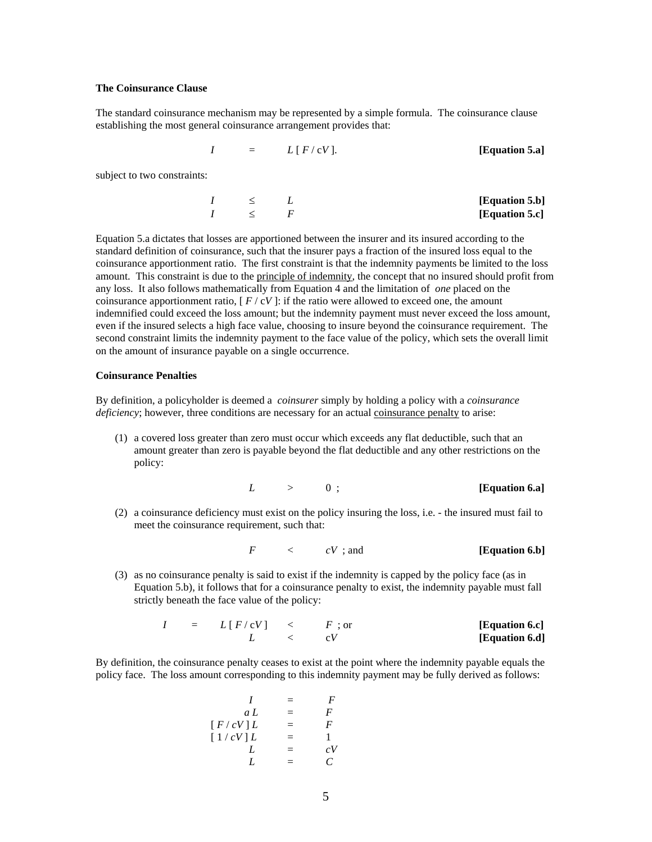### **The Coinsurance Clause**

The standard coinsurance mechanism may be represented by a simple formula. The coinsurance clause establishing the most general coinsurance arrangement provides that:

$$
I = L [F / cV].
$$
 [Equation 5.a]

subject to two constraints:

| $I$ | $\leq$ | $L$ | [Equation 5.b] |
|-----|--------|-----|----------------|
| $I$ | $\leq$ | $F$ | [Equation 5.c] |

Equation 5.a dictates that losses are apportioned between the insurer and its insured according to the standard definition of coinsurance, such that the insurer pays a fraction of the insured loss equal to the coinsurance apportionment ratio. The first constraint is that the indemnity payments be limited to the loss amount. This constraint is due to the principle of indemnity, the concept that no insured should profit from any loss. It also follows mathematically from Equation 4 and the limitation of *one* placed on the coinsurance apportionment ratio,  $\int F / cV$ : if the ratio were allowed to exceed one, the amount indemnified could exceed the loss amount; but the indemnity payment must never exceed the loss amount, even if the insured selects a high face value, choosing to insure beyond the coinsurance requirement. The second constraint limits the indemnity payment to the face value of the policy, which sets the overall limit on the amount of insurance payable on a single occurrence.

#### **Coinsurance Penalties**

By definition, a policyholder is deemed a *coinsurer* simply by holding a policy with a *coinsurance deficiency*; however, three conditions are necessary for an actual coinsurance penalty to arise:

(1) a covered loss greater than zero must occur which exceeds any flat deductible, such that an amount greater than zero is payable beyond the flat deductible and any other restrictions on the policy:

$$
L \qquad > \qquad 0 \, ; \qquad \qquad [Equation 6.a]
$$

(2) a coinsurance deficiency must exist on the policy insuring the loss, i.e. - the insured must fail to meet the coinsurance requirement, such that:

$$
F \qquad \langle \quad CV \, ; \, \text{and} \qquad \qquad \text{[Equation 6.b]}
$$

(3) as no coinsurance penalty is said to exist if the indemnity is capped by the policy face (as in Equation 5.b), it follows that for a coinsurance penalty to exist, the indemnity payable must fall strictly beneath the face value of the policy:

$$
I = L[F/cV] < F; or
$$
 [Equation 6.c]  

$$
L < CV
$$
 [Equation 6.d]

By definition, the coinsurance penalty ceases to exist at the point where the indemnity payable equals the policy face. The loss amount corresponding to this indemnity payment may be fully derived as follows:

$$
\begin{array}{rcl}\nI & = & F \\
aL & = & F \\
[F/cV]L & = & F \\
[1/cV]L & = & 1 \\
L & = & cV \\
L & = & C\n\end{array}
$$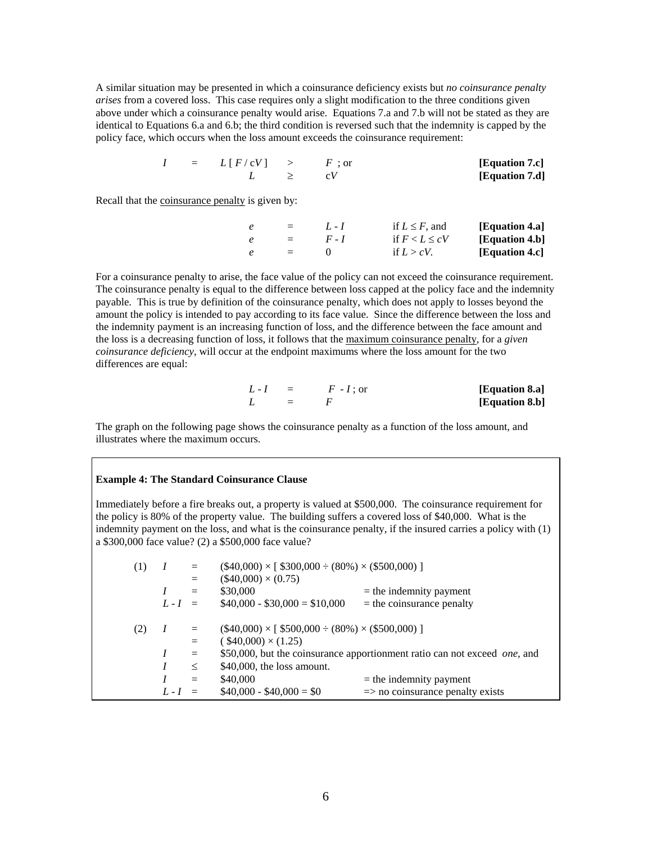A similar situation may be presented in which a coinsurance deficiency exists but *no coinsurance penalty arises* from a covered loss. This case requires only a slight modification to the three conditions given above under which a coinsurance penalty would arise. Equations 7.a and 7.b will not be stated as they are identical to Equations 6.a and 6.b; the third condition is reversed such that the indemnity is capped by the policy face, which occurs when the loss amount exceeds the coinsurance requirement:

$$
I = L[F/cV] > F; or
$$
 [Equation 7.c]  

$$
L \geq C V
$$
 [Equation 7.d]

Recall that the coinsurance penalty is given by:

|                      | $=$ $1. -1$ | if $L \leq F$ , and | [Equation 4.a] |
|----------------------|-------------|---------------------|----------------|
|                      | $=$ $F-I$   | if $F < L \leq cV$  | [Equation 4.b] |
| and the state of the |             | if $L > cV$ .       | [Equation 4.c] |

For a coinsurance penalty to arise, the face value of the policy can not exceed the coinsurance requirement. The coinsurance penalty is equal to the difference between loss capped at the policy face and the indemnity payable. This is true by definition of the coinsurance penalty, which does not apply to losses beyond the amount the policy is intended to pay according to its face value. Since the difference between the loss and the indemnity payment is an increasing function of loss, and the difference between the face amount and the loss is a decreasing function of loss, it follows that the maximum coinsurance penalty, for a *given coinsurance deficiency*, will occur at the endpoint maximums where the loss amount for the two differences are equal:

|               | $L-I = F-I;$ or | [Equation 8.a] |
|---------------|-----------------|----------------|
| $I_{\cdot}$ = |                 | [Equation 8.b] |

The graph on the following page shows the coinsurance penalty as a function of the loss amount, and illustrates where the maximum occurs.

### **Example 4: The Standard Coinsurance Clause**

Immediately before a fire breaks out, a property is valued at \$500,000. The coinsurance requirement for the policy is 80% of the property value. The building suffers a covered loss of \$40,000. What is the indemnity payment on the loss, and what is the coinsurance penalty, if the insured carries a policy with (1) a \$300,000 face value? (2) a \$500,000 face value?

| (1) |           |        | $(\$40,000) \times [\$300,000 \div (80\%) \times (\$500,000)]$ |                                                                                   |
|-----|-----------|--------|----------------------------------------------------------------|-----------------------------------------------------------------------------------|
|     |           |        | $(\$40,000) \times (0.75)$                                     |                                                                                   |
|     |           | $=$    | \$30,000                                                       | $=$ the indemnity payment                                                         |
|     | $L-I =$   |        | $$40,000 - $30,000 = $10,000$                                  | $=$ the coinsurance penalty                                                       |
|     |           |        |                                                                |                                                                                   |
| (2) |           |        | $(\$40,000) \times [\$500,000 \div (80\%) \times (\$500,000)]$ |                                                                                   |
|     |           | $=$    | $(*40,000) \times (1.25)$                                      |                                                                                   |
|     |           | $=$    |                                                                | \$50,000, but the coinsurance apportionment ratio can not exceed <i>one</i> , and |
|     |           | $\leq$ | $$40,000$ , the loss amount.                                   |                                                                                   |
|     |           | $=$    | \$40,000                                                       | $=$ the indemnity payment                                                         |
|     | $L - I =$ |        | $$40,000 - $40,000 = $0$                                       | $\Rightarrow$ no coinsurance penalty exists                                       |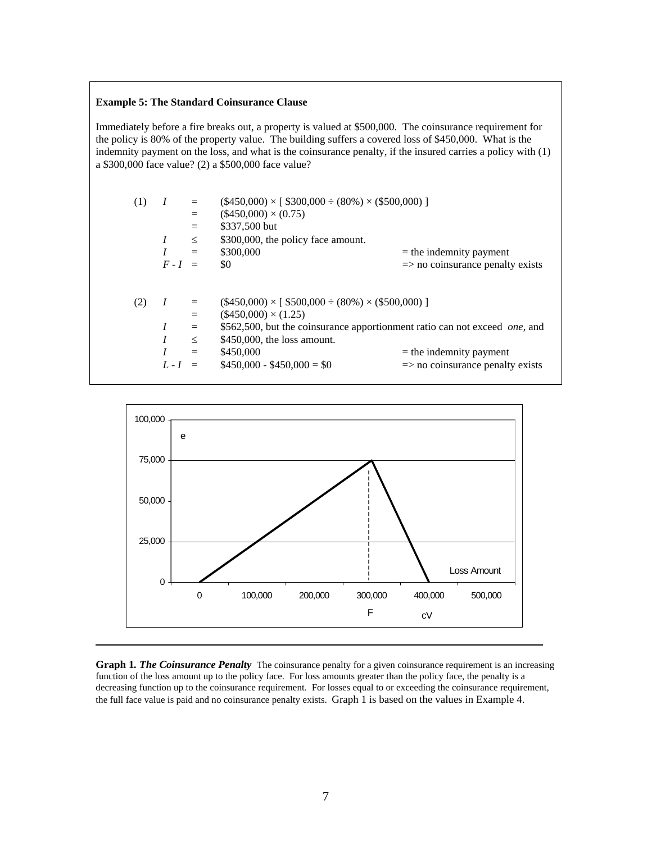### **Example 5: The Standard Coinsurance Clause**

Immediately before a fire breaks out, a property is valued at \$500,000. The coinsurance requirement for the policy is 80% of the property value. The building suffers a covered loss of \$450,000. What is the indemnity payment on the loss, and what is the coinsurance penalty, if the insured carries a policy with (1) a \$300,000 face value? (2) a \$500,000 face value?

| (1) | $\boldsymbol{I}$<br>$F-I =$ | $=$<br>$\leq$<br>$=$        | $(\$450,000) \times [\$300,000 \div (80\%) \times (\$500,000)]$<br>$(\$450,000) \times (0.75)$<br>\$337,500 but<br>\$300,000, the policy face amount.<br>\$300,000<br>\$0                                                                                | $=$ the indemnity payment<br>$\Rightarrow$ no coinsurance penalty exists |
|-----|-----------------------------|-----------------------------|----------------------------------------------------------------------------------------------------------------------------------------------------------------------------------------------------------------------------------------------------------|--------------------------------------------------------------------------|
| (2) | $\boldsymbol{I}$<br>$L-I =$ | $=$<br>$=$<br>$\leq$<br>$=$ | $(\$450,000) \times [\$500,000 \div (80\%) \times (\$500,000)]$<br>$(\$450,000) \times (1.25)$<br>\$562,500, but the coinsurance apportionment ratio can not exceed one, and<br>$$450,000$ , the loss amount.<br>\$450,000<br>$$450,000 - $450,000 = $0$ | $=$ the indemnity payment<br>$\Rightarrow$ no coinsurance penalty exists |



**Graph 1. The Coinsurance Penalty** The coinsurance penalty for a given coinsurance requirement is an increasing function of the loss amount up to the policy face. For loss amounts greater than the policy face, the penalty is a decreasing function up to the coinsurance requirement. For losses equal to or exceeding the coinsurance requirement, the full face value is paid and no coinsurance penalty exists. Graph 1 is based on the values in Example 4.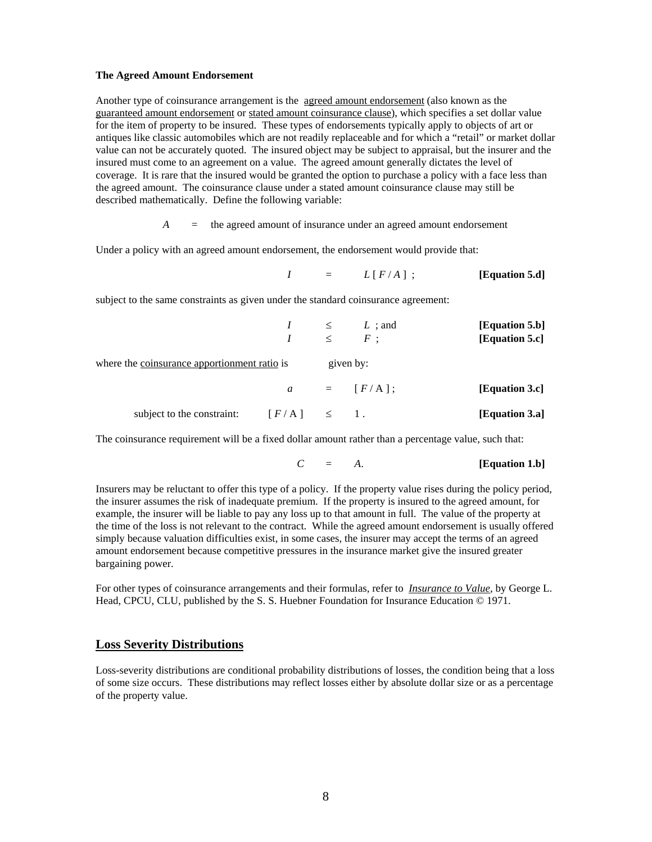#### **The Agreed Amount Endorsement**

Another type of coinsurance arrangement is the agreed amount endorsement (also known as the guaranteed amount endorsement or stated amount coinsurance clause), which specifies a set dollar value for the item of property to be insured. These types of endorsements typically apply to objects of art or antiques like classic automobiles which are not readily replaceable and for which a "retail" or market dollar value can not be accurately quoted. The insured object may be subject to appraisal, but the insurer and the insured must come to an agreement on a value. The agreed amount generally dictates the level of coverage. It is rare that the insured would be granted the option to purchase a policy with a face less than the agreed amount. The coinsurance clause under a stated amount coinsurance clause may still be described mathematically. Define the following variable:

*A* = the agreed amount of insurance under an agreed amount endorsement

Under a policy with an agreed amount endorsement, the endorsement would provide that:

 $I = L[F/A]$ ; **[Equation 5.d]** 

subject to the same constraints as given under the standard coinsurance agreement:

|                                              |  | $I \leq L$ ; and<br>$I \leq F$ ; | [Equation 5.b]<br>[Equation 5.c] |
|----------------------------------------------|--|----------------------------------|----------------------------------|
| where the coinsurance apportionment ratio is |  | given by:                        |                                  |
|                                              |  | $a = [F/A];$                     | [Equation 3.c]                   |
| subject to the constraint: $[F/A] \leq 1$ .  |  |                                  | [Equation 3.a]                   |

The coinsurance requirement will be a fixed dollar amount rather than a percentage value, such that:

$$
C = A. \t[Equation 1.b]
$$

Insurers may be reluctant to offer this type of a policy. If the property value rises during the policy period, the insurer assumes the risk of inadequate premium. If the property is insured to the agreed amount, for example, the insurer will be liable to pay any loss up to that amount in full. The value of the property at the time of the loss is not relevant to the contract. While the agreed amount endorsement is usually offered simply because valuation difficulties exist, in some cases, the insurer may accept the terms of an agreed amount endorsement because competitive pressures in the insurance market give the insured greater bargaining power.

For other types of coinsurance arrangements and their formulas, refer to *Insurance to Value*, by George L. Head, CPCU, CLU, published by the S. S. Huebner Foundation for Insurance Education © 1971.

#### **Loss Severity Distributions**

Loss-severity distributions are conditional probability distributions of losses, the condition being that a loss of some size occurs. These distributions may reflect losses either by absolute dollar size or as a percentage of the property value.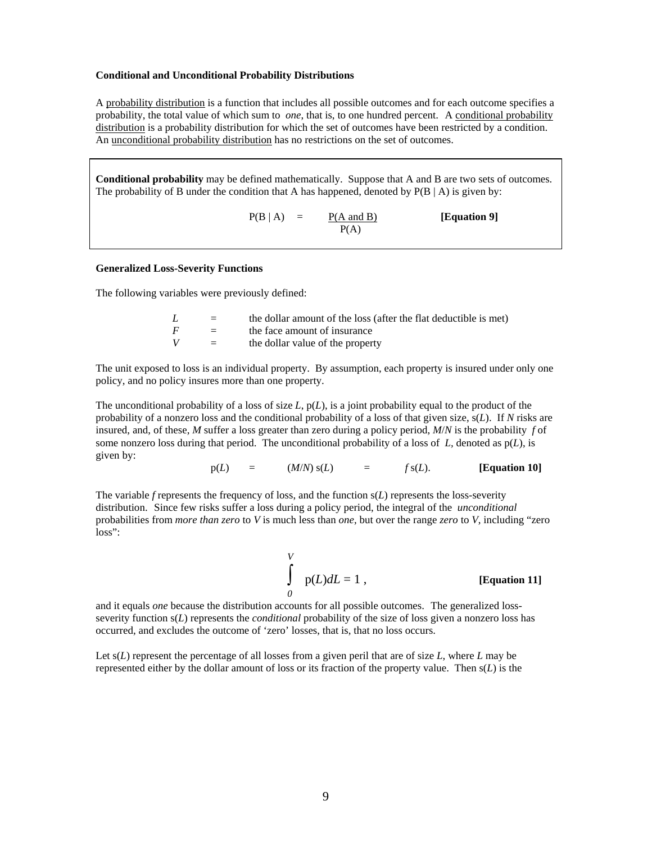#### **Conditional and Unconditional Probability Distributions**

A probability distribution is a function that includes all possible outcomes and for each outcome specifies a probability, the total value of which sum to *one*, that is, to one hundred percent. A conditional probability distribution is a probability distribution for which the set of outcomes have been restricted by a condition. An unconditional probability distribution has no restrictions on the set of outcomes.

**Conditional probability** may be defined mathematically. Suppose that A and B are two sets of outcomes. The probability of B under the condition that A has happened, denoted by  $P(B \mid A)$  is given by:

 $P(B | A) = \frac{P(A \text{ and } B)}{P(A)}$  [Equation 9]  $P(A)$ 

#### **Generalized Loss-Severity Functions**

The following variables were previously defined:

| L              | $=$     | the dollar amount of the loss (after the flat deductible is met) |
|----------------|---------|------------------------------------------------------------------|
| $\overline{F}$ | $=$ $-$ | the face amount of insurance                                     |
| V              | $=$     | the dollar value of the property                                 |

The unit exposed to loss is an individual property. By assumption, each property is insured under only one policy, and no policy insures more than one property.

The unconditional probability of a loss of size *L*, p(*L*), is a joint probability equal to the product of the probability of a nonzero loss and the conditional probability of a loss of that given size, s(*L*). If *N* risks are insured, and, of these, *M* suffer a loss greater than zero during a policy period, *M*/*N* is the probability *f* of some nonzero loss during that period. The unconditional probability of a loss of *L,* denoted as p(*L*), is given by:

$$
p(L) = (M/N) s(L) = f s(L). \qquad [Equation 10]
$$

The variable *f* represents the frequency of loss, and the function s(*L*) represents the loss-severity distribution. Since few risks suffer a loss during a policy period, the integral of the *unconditional* probabilities from *more than zero* to *V* is much less than *one*, but over the range *zero* to *V*, including "zero loss":

 *V*  $√$ <br> $∫$   $p(L)dL = 1$ , **[Equation 11]** *0* 

and it equals *one* because the distribution accounts for all possible outcomes. The generalized lossseverity function s(*L*) represents the *conditional* probability of the size of loss given a nonzero loss has occurred, and excludes the outcome of 'zero' losses, that is, that no loss occurs.

Let s(*L*) represent the percentage of all losses from a given peril that are of size *L*, where *L* may be represented either by the dollar amount of loss or its fraction of the property value. Then s(*L*) is the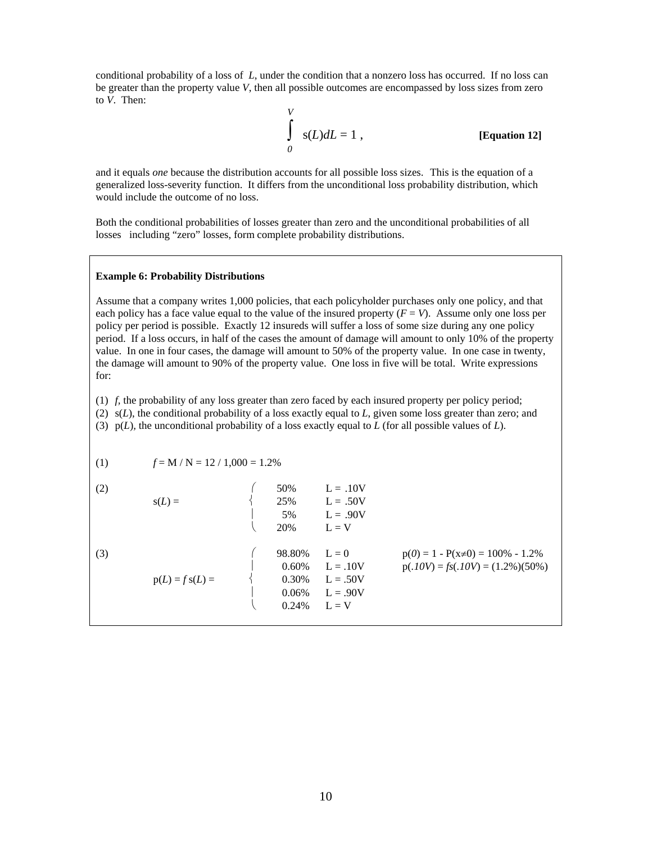conditional probability of a loss of *L*, under the condition that a nonzero loss has occurred. If no loss can be greater than the property value *V*, then all possible outcomes are encompassed by loss sizes from zero to *V*. Then:

$$
\int_{0}^{V} s(L) dL = 1,
$$
 [Equation 12]

and it equals *one* because the distribution accounts for all possible loss sizes. This is the equation of a generalized loss-severity function. It differs from the unconditional loss probability distribution, which would include the outcome of no loss.

Both the conditional probabilities of losses greater than zero and the unconditional probabilities of all losses including "zero" losses, form complete probability distributions.

#### **Example 6: Probability Distributions**

Assume that a company writes 1,000 policies, that each policyholder purchases only one policy, and that each policy has a face value equal to the value of the insured property  $(F = V)$ . Assume only one loss per policy per period is possible. Exactly 12 insureds will suffer a loss of some size during any one policy period. If a loss occurs, in half of the cases the amount of damage will amount to only 10% of the property value. In one in four cases, the damage will amount to 50% of the property value. In one case in twenty, the damage will amount to 90% of the property value. One loss in five will be total. Write expressions for:

(1) *f,* the probability of any loss greater than zero faced by each insured property per policy period;

(2) s(*L*), the conditional probability of a loss exactly equal to *L*, given some loss greater than zero; and

(3) p(*L*), the unconditional probability of a loss exactly equal to *L* (for all possible values of *L*).

$$
(1) \t f = M / N = 12 / 1,000 = 1.2\%
$$

| (2) | $s(L) =$          | 50%<br>25%<br>5%<br>20%                    | $L = .10V$<br>$L = .50V$<br>$L = .90V$<br>$L = V$            |                                                                                   |
|-----|-------------------|--------------------------------------------|--------------------------------------------------------------|-----------------------------------------------------------------------------------|
| (3) | $p(L) = f s(L) =$ | 98.80%<br>0.60%<br>0.30%<br>0.06%<br>0.24% | $L = 0$<br>$L = .10V$<br>$L = .50V$<br>$L = .90V$<br>$L = V$ | $p(0) = 1 - P(x \neq 0) = 100\% - 1.2\%$<br>$p(.10V) = fs(.10V) = (1.2\%) (50\%)$ |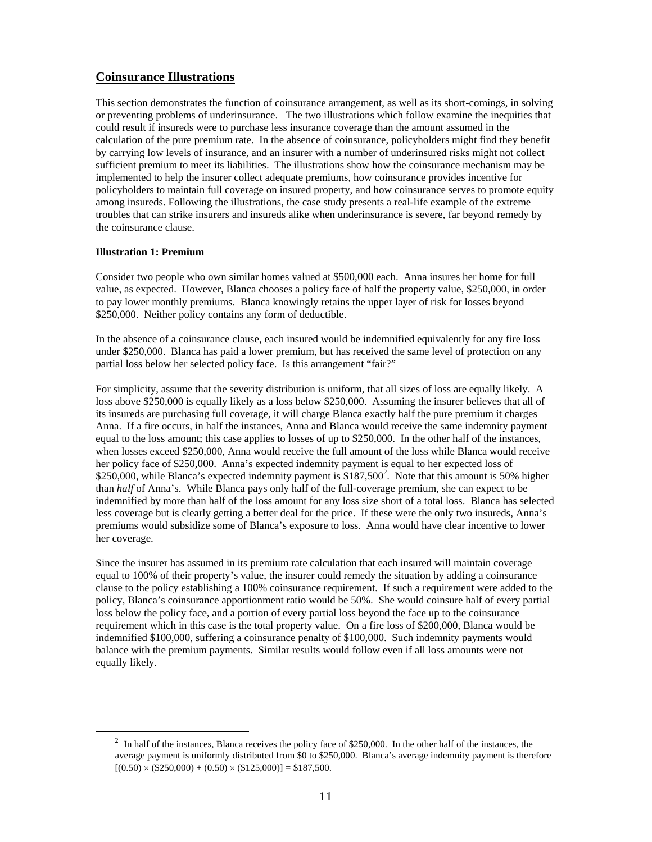## **Coinsurance Illustrations**

This section demonstrates the function of coinsurance arrangement, as well as its short-comings, in solving or preventing problems of underinsurance. The two illustrations which follow examine the inequities that could result if insureds were to purchase less insurance coverage than the amount assumed in the calculation of the pure premium rate. In the absence of coinsurance, policyholders might find they benefit by carrying low levels of insurance, and an insurer with a number of underinsured risks might not collect sufficient premium to meet its liabilities. The illustrations show how the coinsurance mechanism may be implemented to help the insurer collect adequate premiums, how coinsurance provides incentive for policyholders to maintain full coverage on insured property, and how coinsurance serves to promote equity among insureds. Following the illustrations, the case study presents a real-life example of the extreme troubles that can strike insurers and insureds alike when underinsurance is severe, far beyond remedy by the coinsurance clause.

### **Illustration 1: Premium**

Consider two people who own similar homes valued at \$500,000 each. Anna insures her home for full value, as expected. However, Blanca chooses a policy face of half the property value, \$250,000, in order to pay lower monthly premiums. Blanca knowingly retains the upper layer of risk for losses beyond \$250,000. Neither policy contains any form of deductible.

In the absence of a coinsurance clause, each insured would be indemnified equivalently for any fire loss under \$250,000. Blanca has paid a lower premium, but has received the same level of protection on any partial loss below her selected policy face. Is this arrangement "fair?"

For simplicity, assume that the severity distribution is uniform, that all sizes of loss are equally likely. A loss above \$250,000 is equally likely as a loss below \$250,000. Assuming the insurer believes that all of its insureds are purchasing full coverage, it will charge Blanca exactly half the pure premium it charges Anna. If a fire occurs, in half the instances, Anna and Blanca would receive the same indemnity payment equal to the loss amount; this case applies to losses of up to \$250,000. In the other half of the instances, when losses exceed \$250,000, Anna would receive the full amount of the loss while Blanca would receive her policy face of \$250,000. Anna's expected indemnity payment is equal to her expected loss of  $$250,000$ , while Blanca's expected indemnity payment is  $$187,500^2$ . Note that this amount is 50% higher than *half* of Anna's. While Blanca pays only half of the full-coverage premium, she can expect to be indemnified by more than half of the loss amount for any loss size short of a total loss. Blanca has selected less coverage but is clearly getting a better deal for the price. If these were the only two insureds, Anna's premiums would subsidize some of Blanca's exposure to loss. Anna would have clear incentive to lower her coverage.

Since the insurer has assumed in its premium rate calculation that each insured will maintain coverage equal to 100% of their property's value, the insurer could remedy the situation by adding a coinsurance clause to the policy establishing a 100% coinsurance requirement. If such a requirement were added to the policy, Blanca's coinsurance apportionment ratio would be 50%. She would coinsure half of every partial loss below the policy face, and a portion of every partial loss beyond the face up to the coinsurance requirement which in this case is the total property value. On a fire loss of \$200,000, Blanca would be indemnified \$100,000, suffering a coinsurance penalty of \$100,000. Such indemnity payments would balance with the premium payments. Similar results would follow even if all loss amounts were not equally likely.

 $\frac{1}{2}$  $\frac{1}{2}$  In half of the instances, Blanca receives the policy face of \$250,000. In the other half of the instances, the average payment is uniformly distributed from \$0 to \$250,000. Blanca's average indemnity payment is therefore  $[(0.50) \times (\$250,000) + (0.50) \times (\$125,000)] = \$187,500.$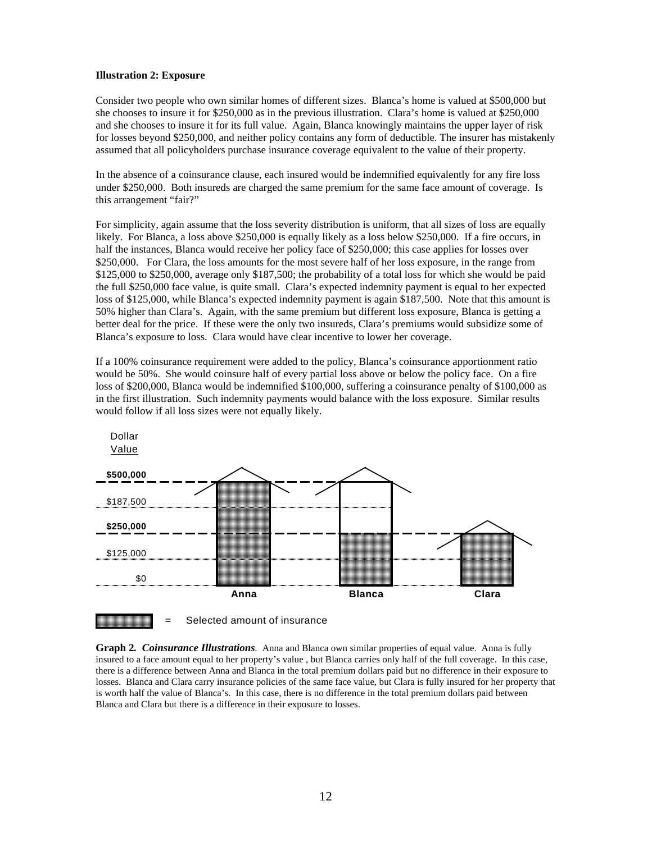#### **Illustration 2: Exposure**

Consider two people who own similar homes of different sizes. Blanca's home is valued at \$500,000 but she chooses to insure it for \$250,000 as in the previous illustration. Clara's home is valued at \$250,000 and she chooses to insure it for its full value. Again, Blanca knowingly maintains the upper layer of risk for losses beyond \$250,000, and neither policy contains any form of deductible. The insurer has mistakenly assumed that all policyholders purchase insurance coverage equivalent to the value of their property.

In the absence of a coinsurance clause, each insured would be indemnified equivalently for any fire loss under \$250,000. Both insureds are charged the same premium for the same face amount of coverage. Is this arrangement "fair?"

For simplicity, again assume that the loss severity distribution is uniform, that all sizes of loss are equally likely. For Blanca, a loss above \$250,000 is equally likely as a loss below \$250,000. If a fire occurs, in half the instances, Blanca would receive her policy face of \$250,000; this case applies for losses over \$250,000. For Clara, the loss amounts for the most severe half of her loss exposure, in the range from \$125,000 to \$250,000, average only \$187,500; the probability of a total loss for which she would be paid the full \$250,000 face value, is quite small. Clara's expected indemnity payment is equal to her expected loss of \$125,000, while Blanca's expected indemnity payment is again \$187,500. Note that this amount is 50% higher than Clara's. Again, with the same premium but different loss exposure, Blanca is getting a better deal for the price. If these were the only two insureds, Clara's premiums would subsidize some of Blanca's exposure to loss. Clara would have clear incentive to lower her coverage.

If a 100% coinsurance requirement were added to the policy, Blanca's coinsurance apportionment ratio would be 50%. She would coinsure half of every partial loss above or below the policy face. On a fire loss of \$200,000, Blanca would be indemnified \$100,000, suffering a coinsurance penalty of \$100,000 as in the first illustration. Such indemnity payments would balance with the loss exposure. Similar results would follow if all loss sizes were not equally likely.



**Graph 2***. Coinsurance Illustrations.* Anna and Blanca own similar properties of equal value. Anna is fully insured to a face amount equal to her property's value , but Blanca carries only half of the full coverage. In this case, there is a difference between Anna and Blanca in the total premium dollars paid but no difference in their exposure to losses. Blanca and Clara carry insurance policies of the same face value, but Clara is fully insured for her property that is worth half the value of Blanca's. In this case, there is no difference in the total premium dollars paid between Blanca and Clara but there is a difference in their exposure to losses.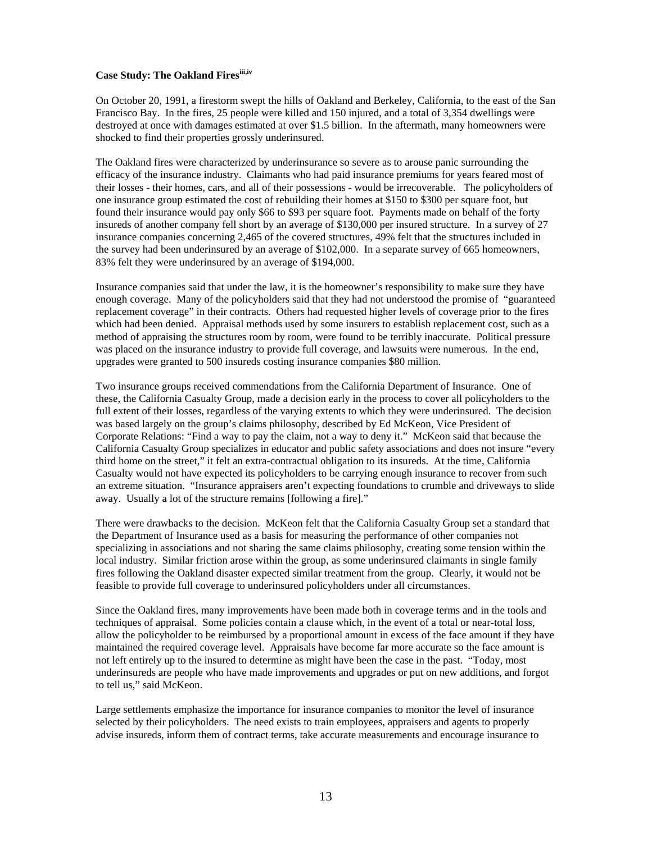### **Case Study: The Oakland Firesiii,iv**

On October 20, 1991, a firestorm swept the hills of Oakland and Berkeley, California, to the east of the San Francisco Bay. In the fires, 25 people were killed and 150 injured, and a total of 3,354 dwellings were destroyed at once with damages estimated at over \$1.5 billion. In the aftermath, many homeowners were shocked to find their properties grossly underinsured.

The Oakland fires were characterized by underinsurance so severe as to arouse panic surrounding the efficacy of the insurance industry. Claimants who had paid insurance premiums for years feared most of their losses - their homes, cars, and all of their possessions - would be irrecoverable. The policyholders of one insurance group estimated the cost of rebuilding their homes at \$150 to \$300 per square foot, but found their insurance would pay only \$66 to \$93 per square foot. Payments made on behalf of the forty insureds of another company fell short by an average of \$130,000 per insured structure. In a survey of 27 insurance companies concerning 2,465 of the covered structures, 49% felt that the structures included in the survey had been underinsured by an average of \$102,000. In a separate survey of 665 homeowners, 83% felt they were underinsured by an average of \$194,000.

Insurance companies said that under the law, it is the homeowner's responsibility to make sure they have enough coverage. Many of the policyholders said that they had not understood the promise of "guaranteed replacement coverage" in their contracts. Others had requested higher levels of coverage prior to the fires which had been denied. Appraisal methods used by some insurers to establish replacement cost, such as a method of appraising the structures room by room, were found to be terribly inaccurate. Political pressure was placed on the insurance industry to provide full coverage, and lawsuits were numerous. In the end, upgrades were granted to 500 insureds costing insurance companies \$80 million.

Two insurance groups received commendations from the California Department of Insurance. One of these, the California Casualty Group, made a decision early in the process to cover all policyholders to the full extent of their losses, regardless of the varying extents to which they were underinsured. The decision was based largely on the group's claims philosophy, described by Ed McKeon, Vice President of Corporate Relations: "Find a way to pay the claim, not a way to deny it." McKeon said that because the California Casualty Group specializes in educator and public safety associations and does not insure "every third home on the street," it felt an extra-contractual obligation to its insureds. At the time, California Casualty would not have expected its policyholders to be carrying enough insurance to recover from such an extreme situation. "Insurance appraisers aren't expecting foundations to crumble and driveways to slide away. Usually a lot of the structure remains [following a fire]."

There were drawbacks to the decision. McKeon felt that the California Casualty Group set a standard that the Department of Insurance used as a basis for measuring the performance of other companies not specializing in associations and not sharing the same claims philosophy, creating some tension within the local industry. Similar friction arose within the group, as some underinsured claimants in single family fires following the Oakland disaster expected similar treatment from the group. Clearly, it would not be feasible to provide full coverage to underinsured policyholders under all circumstances.

Since the Oakland fires, many improvements have been made both in coverage terms and in the tools and techniques of appraisal. Some policies contain a clause which, in the event of a total or near-total loss, allow the policyholder to be reimbursed by a proportional amount in excess of the face amount if they have maintained the required coverage level. Appraisals have become far more accurate so the face amount is not left entirely up to the insured to determine as might have been the case in the past. "Today, most underinsureds are people who have made improvements and upgrades or put on new additions, and forgot to tell us," said McKeon.

Large settlements emphasize the importance for insurance companies to monitor the level of insurance selected by their policyholders. The need exists to train employees, appraisers and agents to properly advise insureds, inform them of contract terms, take accurate measurements and encourage insurance to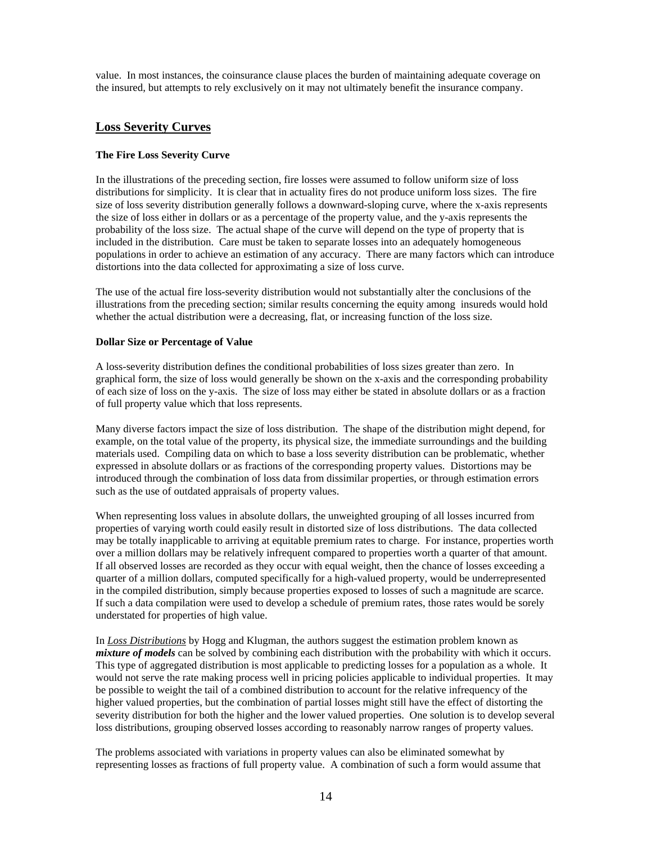value. In most instances, the coinsurance clause places the burden of maintaining adequate coverage on the insured, but attempts to rely exclusively on it may not ultimately benefit the insurance company.

## **Loss Severity Curves**

## **The Fire Loss Severity Curve**

In the illustrations of the preceding section, fire losses were assumed to follow uniform size of loss distributions for simplicity. It is clear that in actuality fires do not produce uniform loss sizes. The fire size of loss severity distribution generally follows a downward-sloping curve, where the x-axis represents the size of loss either in dollars or as a percentage of the property value, and the y-axis represents the probability of the loss size. The actual shape of the curve will depend on the type of property that is included in the distribution. Care must be taken to separate losses into an adequately homogeneous populations in order to achieve an estimation of any accuracy. There are many factors which can introduce distortions into the data collected for approximating a size of loss curve.

The use of the actual fire loss-severity distribution would not substantially alter the conclusions of the illustrations from the preceding section; similar results concerning the equity among insureds would hold whether the actual distribution were a decreasing, flat, or increasing function of the loss size.

### **Dollar Size or Percentage of Value**

A loss-severity distribution defines the conditional probabilities of loss sizes greater than zero. In graphical form, the size of loss would generally be shown on the x-axis and the corresponding probability of each size of loss on the y-axis. The size of loss may either be stated in absolute dollars or as a fraction of full property value which that loss represents.

Many diverse factors impact the size of loss distribution. The shape of the distribution might depend, for example, on the total value of the property, its physical size, the immediate surroundings and the building materials used. Compiling data on which to base a loss severity distribution can be problematic, whether expressed in absolute dollars or as fractions of the corresponding property values. Distortions may be introduced through the combination of loss data from dissimilar properties, or through estimation errors such as the use of outdated appraisals of property values.

When representing loss values in absolute dollars, the unweighted grouping of all losses incurred from properties of varying worth could easily result in distorted size of loss distributions. The data collected may be totally inapplicable to arriving at equitable premium rates to charge. For instance, properties worth over a million dollars may be relatively infrequent compared to properties worth a quarter of that amount. If all observed losses are recorded as they occur with equal weight, then the chance of losses exceeding a quarter of a million dollars, computed specifically for a high-valued property, would be underrepresented in the compiled distribution, simply because properties exposed to losses of such a magnitude are scarce. If such a data compilation were used to develop a schedule of premium rates, those rates would be sorely understated for properties of high value.

In *Loss Distributions* by Hogg and Klugman, the authors suggest the estimation problem known as *mixture of models* can be solved by combining each distribution with the probability with which it occurs. This type of aggregated distribution is most applicable to predicting losses for a population as a whole. It would not serve the rate making process well in pricing policies applicable to individual properties. It may be possible to weight the tail of a combined distribution to account for the relative infrequency of the higher valued properties, but the combination of partial losses might still have the effect of distorting the severity distribution for both the higher and the lower valued properties. One solution is to develop several loss distributions, grouping observed losses according to reasonably narrow ranges of property values.

The problems associated with variations in property values can also be eliminated somewhat by representing losses as fractions of full property value. A combination of such a form would assume that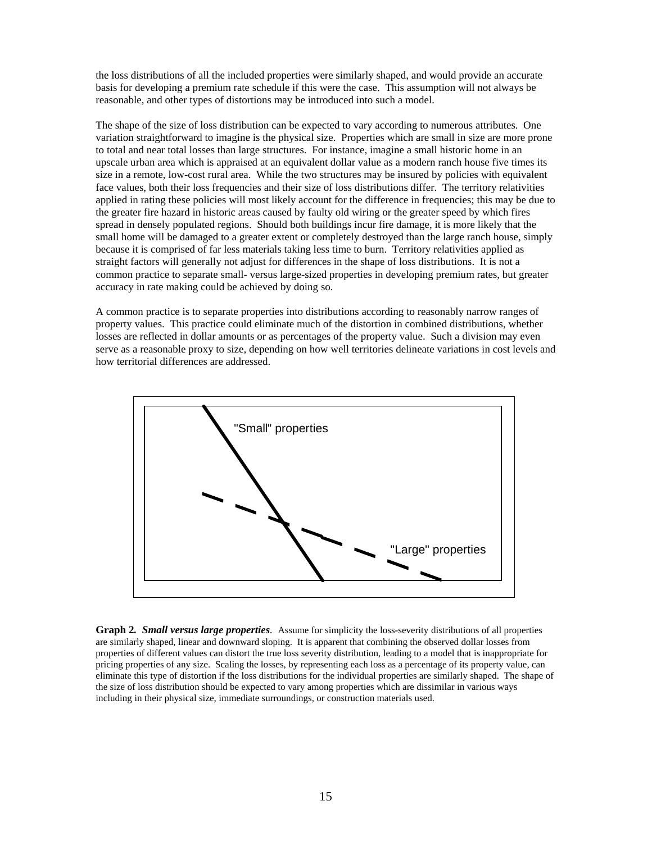the loss distributions of all the included properties were similarly shaped, and would provide an accurate basis for developing a premium rate schedule if this were the case. This assumption will not always be reasonable, and other types of distortions may be introduced into such a model.

The shape of the size of loss distribution can be expected to vary according to numerous attributes. One variation straightforward to imagine is the physical size. Properties which are small in size are more prone to total and near total losses than large structures. For instance, imagine a small historic home in an upscale urban area which is appraised at an equivalent dollar value as a modern ranch house five times its size in a remote, low-cost rural area. While the two structures may be insured by policies with equivalent face values, both their loss frequencies and their size of loss distributions differ. The territory relativities applied in rating these policies will most likely account for the difference in frequencies; this may be due to the greater fire hazard in historic areas caused by faulty old wiring or the greater speed by which fires spread in densely populated regions. Should both buildings incur fire damage, it is more likely that the small home will be damaged to a greater extent or completely destroyed than the large ranch house, simply because it is comprised of far less materials taking less time to burn. Territory relativities applied as straight factors will generally not adjust for differences in the shape of loss distributions. It is not a common practice to separate small- versus large-sized properties in developing premium rates, but greater accuracy in rate making could be achieved by doing so.

A common practice is to separate properties into distributions according to reasonably narrow ranges of property values. This practice could eliminate much of the distortion in combined distributions, whether losses are reflected in dollar amounts or as percentages of the property value. Such a division may even serve as a reasonable proxy to size, depending on how well territories delineate variations in cost levels and how territorial differences are addressed.



**Graph 2***. Small versus large properties.* Assume for simplicity the loss-severity distributions of all properties are similarly shaped, linear and downward sloping. It is apparent that combining the observed dollar losses from properties of different values can distort the true loss severity distribution, leading to a model that is inappropriate for pricing properties of any size. Scaling the losses, by representing each loss as a percentage of its property value, can eliminate this type of distortion if the loss distributions for the individual properties are similarly shaped. The shape of the size of loss distribution should be expected to vary among properties which are dissimilar in various ways including in their physical size, immediate surroundings, or construction materials used.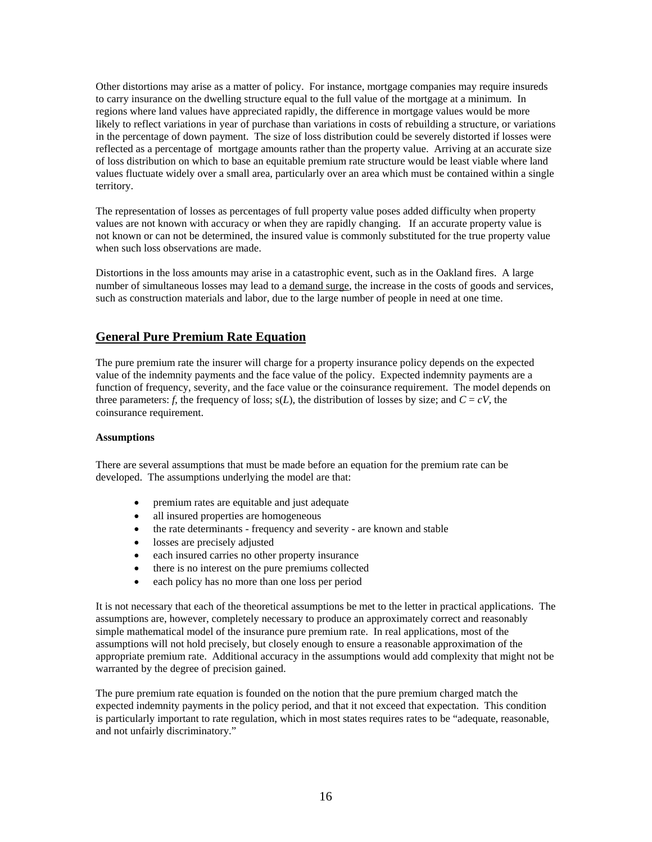Other distortions may arise as a matter of policy. For instance, mortgage companies may require insureds to carry insurance on the dwelling structure equal to the full value of the mortgage at a minimum. In regions where land values have appreciated rapidly, the difference in mortgage values would be more likely to reflect variations in year of purchase than variations in costs of rebuilding a structure, or variations in the percentage of down payment. The size of loss distribution could be severely distorted if losses were reflected as a percentage of mortgage amounts rather than the property value. Arriving at an accurate size of loss distribution on which to base an equitable premium rate structure would be least viable where land values fluctuate widely over a small area, particularly over an area which must be contained within a single territory.

The representation of losses as percentages of full property value poses added difficulty when property values are not known with accuracy or when they are rapidly changing. If an accurate property value is not known or can not be determined, the insured value is commonly substituted for the true property value when such loss observations are made.

Distortions in the loss amounts may arise in a catastrophic event, such as in the Oakland fires. A large number of simultaneous losses may lead to a demand surge, the increase in the costs of goods and services, such as construction materials and labor, due to the large number of people in need at one time.

## **General Pure Premium Rate Equation**

The pure premium rate the insurer will charge for a property insurance policy depends on the expected value of the indemnity payments and the face value of the policy. Expected indemnity payments are a function of frequency, severity, and the face value or the coinsurance requirement. The model depends on three parameters: *f*, the frequency of loss;  $s(L)$ , the distribution of losses by size; and  $C = cV$ , the coinsurance requirement.

#### **Assumptions**

There are several assumptions that must be made before an equation for the premium rate can be developed. The assumptions underlying the model are that:

- premium rates are equitable and just adequate
- all insured properties are homogeneous
- the rate determinants frequency and severity are known and stable
- losses are precisely adjusted
- each insured carries no other property insurance
- there is no interest on the pure premiums collected
- each policy has no more than one loss per period

It is not necessary that each of the theoretical assumptions be met to the letter in practical applications. The assumptions are, however, completely necessary to produce an approximately correct and reasonably simple mathematical model of the insurance pure premium rate. In real applications, most of the assumptions will not hold precisely, but closely enough to ensure a reasonable approximation of the appropriate premium rate. Additional accuracy in the assumptions would add complexity that might not be warranted by the degree of precision gained.

The pure premium rate equation is founded on the notion that the pure premium charged match the expected indemnity payments in the policy period, and that it not exceed that expectation. This condition is particularly important to rate regulation, which in most states requires rates to be "adequate, reasonable, and not unfairly discriminatory."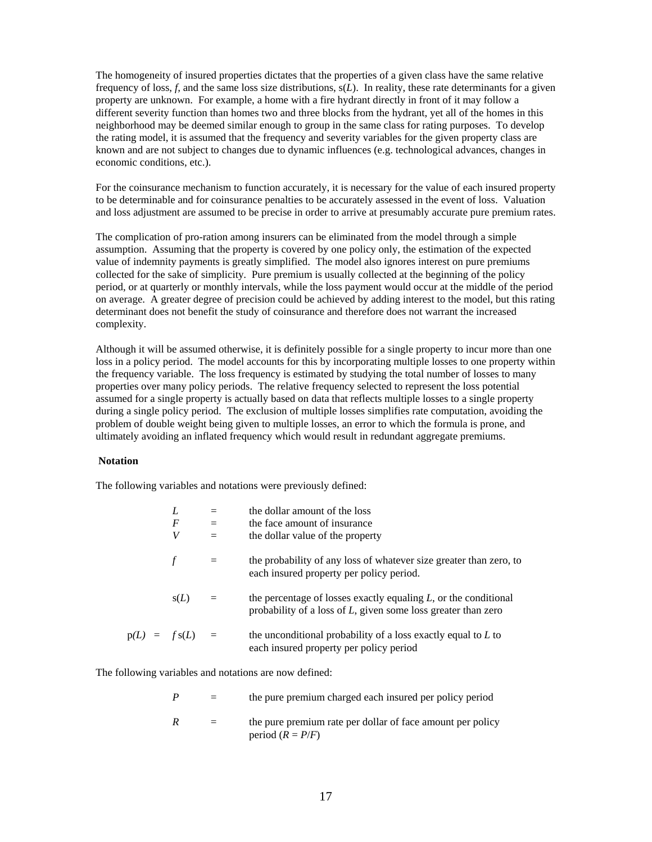The homogeneity of insured properties dictates that the properties of a given class have the same relative frequency of loss, *f,* and the same loss size distributions, s(*L*). In reality, these rate determinants for a given property are unknown. For example, a home with a fire hydrant directly in front of it may follow a different severity function than homes two and three blocks from the hydrant, yet all of the homes in this neighborhood may be deemed similar enough to group in the same class for rating purposes. To develop the rating model, it is assumed that the frequency and severity variables for the given property class are known and are not subject to changes due to dynamic influences (e.g. technological advances, changes in economic conditions, etc.).

For the coinsurance mechanism to function accurately, it is necessary for the value of each insured property to be determinable and for coinsurance penalties to be accurately assessed in the event of loss. Valuation and loss adjustment are assumed to be precise in order to arrive at presumably accurate pure premium rates.

The complication of pro-ration among insurers can be eliminated from the model through a simple assumption. Assuming that the property is covered by one policy only, the estimation of the expected value of indemnity payments is greatly simplified. The model also ignores interest on pure premiums collected for the sake of simplicity. Pure premium is usually collected at the beginning of the policy period, or at quarterly or monthly intervals, while the loss payment would occur at the middle of the period on average. A greater degree of precision could be achieved by adding interest to the model, but this rating determinant does not benefit the study of coinsurance and therefore does not warrant the increased complexity.

Although it will be assumed otherwise, it is definitely possible for a single property to incur more than one loss in a policy period. The model accounts for this by incorporating multiple losses to one property within the frequency variable. The loss frequency is estimated by studying the total number of losses to many properties over many policy periods. The relative frequency selected to represent the loss potential assumed for a single property is actually based on data that reflects multiple losses to a single property during a single policy period. The exclusion of multiple losses simplifies rate computation, avoiding the problem of double weight being given to multiple losses, an error to which the formula is prone, and ultimately avoiding an inflated frequency which would result in redundant aggregate premiums.

#### **Notation**

The following variables and notations were previously defined:

|  |                   |     | the dollar amount of the loss                                                                                                          |
|--|-------------------|-----|----------------------------------------------------------------------------------------------------------------------------------------|
|  | F                 | $=$ | the face amount of insurance                                                                                                           |
|  | V                 | $=$ | the dollar value of the property                                                                                                       |
|  |                   | $=$ | the probability of any loss of whatever size greater than zero, to<br>each insured property per policy period.                         |
|  | s(L)              | $=$ | the percentage of losses exactly equaling $L$ , or the conditional<br>probability of a loss of $L$ , given some loss greater than zero |
|  | $p(L) = f s(L) =$ |     | the unconditional probability of a loss exactly equal to $L$ to<br>each insured property per policy period                             |

The following variables and notations are now defined:

|  | the pure premium charged each insured per policy period |  |
|--|---------------------------------------------------------|--|
|--|---------------------------------------------------------|--|

 $R =$  the pure premium rate per dollar of face amount per policy period  $(R = P/F)$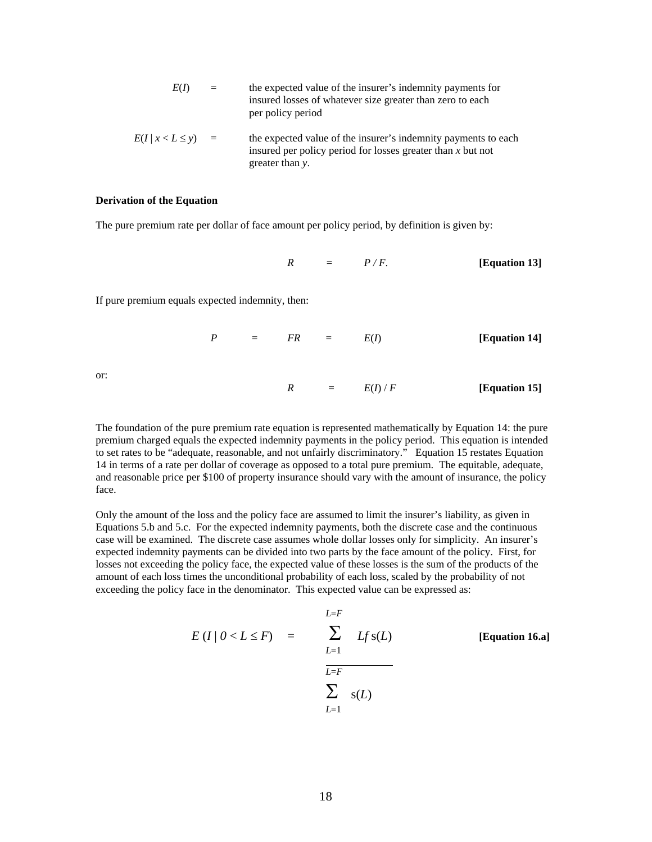| E(D)                   | $=$ | the expected value of the insurer's indemnity payments for<br>insured losses of whatever size greater than zero to each<br>per policy period       |
|------------------------|-----|----------------------------------------------------------------------------------------------------------------------------------------------------|
| $E(I   x < L \le y) =$ |     | the expected value of the insurer's indemnity payments to each<br>insured per policy period for losses greater than $x$ but not<br>greater than y. |

#### **Derivation of the Equation**

The pure premium rate per dollar of face amount per policy period, by definition is given by:

 $R = P/F.$  **[Equation 13]** 

If pure premium equals expected indemnity, then:

$$
P = FR = E(I) \qquad [Equation 14]
$$

or:

$$
R = E(I)/F
$$
 [Equation 15]

The foundation of the pure premium rate equation is represented mathematically by Equation 14: the pure premium charged equals the expected indemnity payments in the policy period. This equation is intended to set rates to be "adequate, reasonable, and not unfairly discriminatory." Equation 15 restates Equation 14 in terms of a rate per dollar of coverage as opposed to a total pure premium. The equitable, adequate, and reasonable price per \$100 of property insurance should vary with the amount of insurance, the policy face.

Only the amount of the loss and the policy face are assumed to limit the insurer's liability, as given in Equations 5.b and 5.c. For the expected indemnity payments, both the discrete case and the continuous case will be examined. The discrete case assumes whole dollar losses only for simplicity. An insurer's expected indemnity payments can be divided into two parts by the face amount of the policy. First, for losses not exceeding the policy face, the expected value of these losses is the sum of the products of the amount of each loss times the unconditional probability of each loss, scaled by the probability of not exceeding the policy face in the denominator. This expected value can be expressed as:

$$
E(I | 0 < L \le F) = \sum_{\substack{L=1 \ L \equiv F}}^{L=F} Lf s(L)
$$
 [Equation 16.a]  

$$
\sum_{L=1}^{L=F} s(L)
$$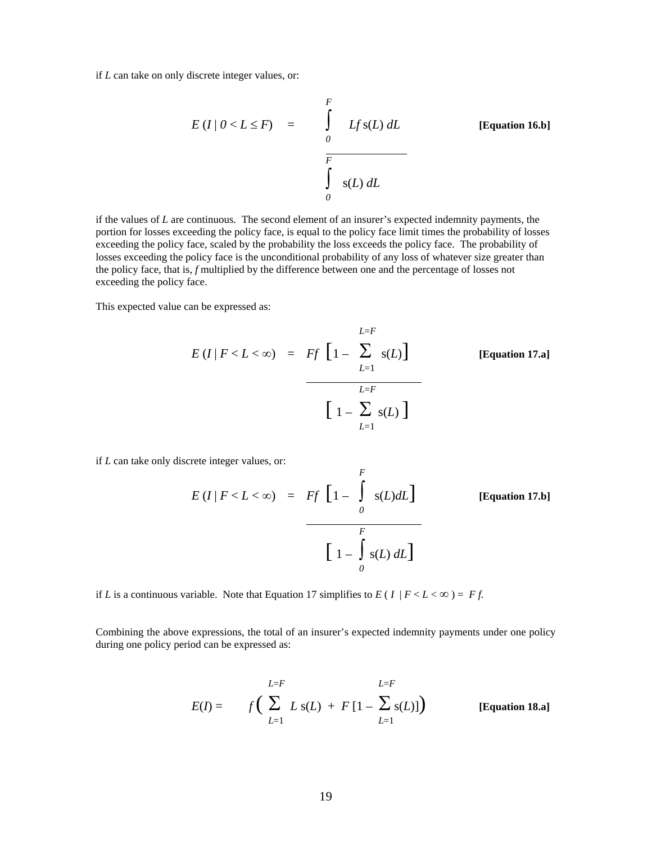if *L* can take on only discrete integer values, or:

$$
E(I | 0 < L \le F) = \int_{0}^{F} Lf s(L) dL
$$
 [Equation 16.b]  

$$
\int_{0}^{F} s(L) dL
$$

if the values of *L* are continuous. The second element of an insurer's expected indemnity payments, the portion for losses exceeding the policy face, is equal to the policy face limit times the probability of losses exceeding the policy face, scaled by the probability the loss exceeds the policy face. The probability of losses exceeding the policy face is the unconditional probability of any loss of whatever size greater than the policy face, that is, *f* multiplied by the difference between one and the percentage of losses not exceeding the policy face.

This expected value can be expressed as:

$$
E(I | F < L < \infty) = \nF f \left[ 1 - \sum_{L=1}^{L=F} s(L) \right] \n\qquad \qquad \text{[Equation 17.a]} \n\left[ 1 - \sum_{L=1}^{L=F} s(L) \right]
$$

if *L* can take only discrete integer values, or:

$$
E(I | F < L < \infty) = \nFf\left[1 - \int_{0}^{F} s(L) dL\right] \n\qquad \qquad \text{[Equation 17.b]}
$$
\n
$$
\left[1 - \int_{0}^{F} s(L) dL\right]
$$

if *L* is a continuous variable. Note that Equation 17 simplifies to  $E(I | F < L < \infty) = Ff$ .

Combining the above expressions, the total of an insurer's expected indemnity payments under one policy during one policy period can be expressed as:

$$
E(I) = f\left(\sum_{L=1}^{L=F} L s(L) + F[1 - \sum_{L=1}^{L=F} s(L)]\right)
$$
 [Equation 18.a]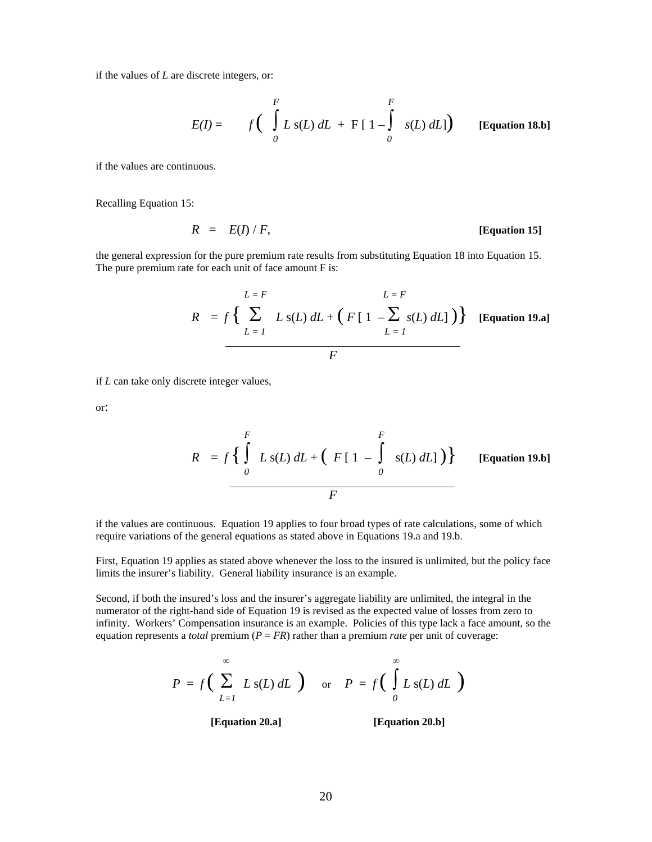if the values of *L* are discrete integers, or:

$$
E(I) = f\left(\int_{0}^{F} L \, s(L) \, dL + F\left[1 - \int_{0}^{F} s(L) \, dL\right]\right) \qquad \text{[Equation 18.b]}
$$

if the values are continuous.

Recalling Equation 15:

$$
R = E(I) / F,
$$
 [Equation 15]

the general expression for the pure premium rate results from substituting Equation 18 into Equation 15. The pure premium rate for each unit of face amount F is:

$$
R = f\left\{\sum_{L=1}^{L=F} L s(L) dL + (F [1 - \sum_{L=1}^{E} s(L) dL] )\right\}
$$
 [Equation 19.a]  

$$
F
$$

if *L* can take only discrete integer values,

or:

$$
R = f\left\{\int_{0}^{F} L \, \mathrm{s}(L) \, dL + \left(F\left[\right. 1 - \int_{0}^{F} \, \mathrm{s}(L) \, dL\right]\right)\right\} \qquad \text{[Equation 19.b]}
$$

if the values are continuous. Equation 19 applies to four broad types of rate calculations, some of which require variations of the general equations as stated above in Equations 19.a and 19.b.

First, Equation 19 applies as stated above whenever the loss to the insured is unlimited, but the policy face limits the insurer's liability. General liability insurance is an example.

Second, if both the insured's loss and the insurer's aggregate liability are unlimited, the integral in the numerator of the right-hand side of Equation 19 is revised as the expected value of losses from zero to infinity. Workers' Compensation insurance is an example. Policies of this type lack a face amount, so the equation represents a *total* premium  $(P = FR)$  rather than a premium *rate* per unit of coverage:

$$
P = f\left(\sum_{L=1}^{\infty} L s(L) dL\right) \quad \text{or} \quad P = f\left(\int_{0}^{\infty} L s(L) dL\right)
$$

 **[Equation 20.a] [Equation 20.b]**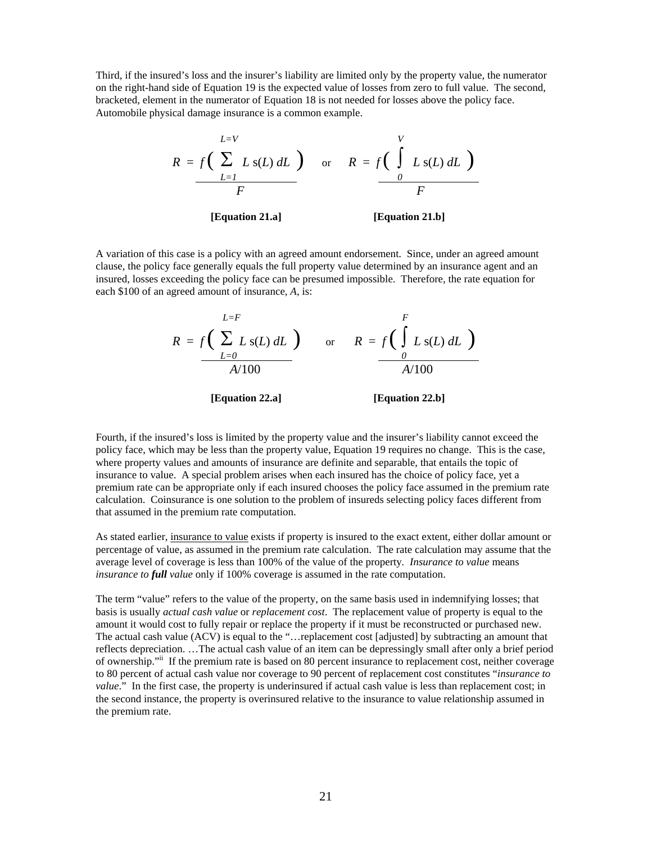Third, if the insured's loss and the insurer's liability are limited only by the property value, the numerator on the right-hand side of Equation 19 is the expected value of losses from zero to full value. The second, bracketed, element in the numerator of Equation 18 is not needed for losses above the policy face. Automobile physical damage insurance is a common example.



A variation of this case is a policy with an agreed amount endorsement. Since, under an agreed amount clause, the policy face generally equals the full property value determined by an insurance agent and an insured, losses exceeding the policy face can be presumed impossible. Therefore, the rate equation for each \$100 of an agreed amount of insurance, *A*, is:

$$
R = f\left(\sum_{L=0}^{L=F} L s(L) dL\right) \quad \text{or} \quad R = f\left(\int_{0}^{F} L s(L) dL\right)
$$
  
 
$$
\xrightarrow[A/100]{L=6} A/100
$$
  
[Equation 22.a] [Equation 22.b]

Fourth, if the insured's loss is limited by the property value and the insurer's liability cannot exceed the policy face, which may be less than the property value, Equation 19 requires no change. This is the case, where property values and amounts of insurance are definite and separable, that entails the topic of insurance to value. A special problem arises when each insured has the choice of policy face, yet a premium rate can be appropriate only if each insured chooses the policy face assumed in the premium rate calculation. Coinsurance is one solution to the problem of insureds selecting policy faces different from that assumed in the premium rate computation.

As stated earlier, insurance to value exists if property is insured to the exact extent, either dollar amount or percentage of value, as assumed in the premium rate calculation. The rate calculation may assume that the average level of coverage is less than 100% of the value of the property*. Insurance to value* means *insurance to full value* only if 100% coverage is assumed in the rate computation.

The term "value" refers to the value of the property, on the same basis used in indemnifying losses; that basis is usually *actual cash value* or *replacement cost*. The replacement value of property is equal to the amount it would cost to fully repair or replace the property if it must be reconstructed or purchased new. The actual cash value (ACV) is equal to the "…replacement cost [adjusted] by subtracting an amount that reflects depreciation. …The actual cash value of an item can be depressingly small after only a brief period of ownership."<sup>ii</sup> If the premium rate is based on 80 percent insurance to replacement cost, neither coverage to 80 percent of actual cash value nor coverage to 90 percent of replacement cost constitutes "*insurance to value*." In the first case, the property is underinsured if actual cash value is less than replacement cost; in the second instance, the property is overinsured relative to the insurance to value relationship assumed in the premium rate.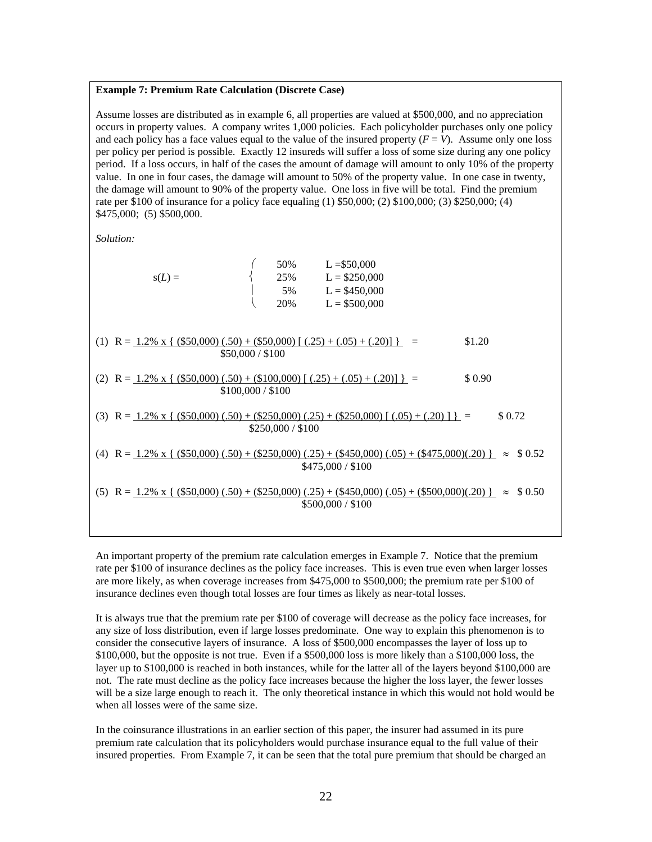#### **Example 7: Premium Rate Calculation (Discrete Case)**

Assume losses are distributed as in example 6, all properties are valued at \$500,000, and no appreciation occurs in property values. A company writes 1,000 policies. Each policyholder purchases only one policy and each policy has a face values equal to the value of the insured property  $(F = V)$ . Assume only one loss per policy per period is possible. Exactly 12 insureds will suffer a loss of some size during any one policy period. If a loss occurs, in half of the cases the amount of damage will amount to only 10% of the property value. In one in four cases, the damage will amount to 50% of the property value. In one case in twenty, the damage will amount to 90% of the property value. One loss in five will be total. Find the premium rate per \$100 of insurance for a policy face equaling (1) \$50,000; (2) \$100,000; (3) \$250,000; (4) \$475,000; (5) \$500,000.

*Solution:* 

| \$0.72                                                                                                              |
|---------------------------------------------------------------------------------------------------------------------|
| (4) R = $1.2\%$ x { (\$50,000) (.50) + (\$250,000) (.25) + (\$450,000) (.05) + (\$475,000)(.20) } $\approx$ \$0.52  |
| (5) R = $1.2\%$ x { (\$50,000) (.50) + (\$250,000) (.25) + (\$450,000) (.05) + (\$500,000)(.20) } $\approx$ \$ 0.50 |
|                                                                                                                     |

An important property of the premium rate calculation emerges in Example 7. Notice that the premium rate per \$100 of insurance declines as the policy face increases. This is even true even when larger losses are more likely, as when coverage increases from \$475,000 to \$500,000; the premium rate per \$100 of insurance declines even though total losses are four times as likely as near-total losses.

It is always true that the premium rate per \$100 of coverage will decrease as the policy face increases, for any size of loss distribution, even if large losses predominate. One way to explain this phenomenon is to consider the consecutive layers of insurance. A loss of \$500,000 encompasses the layer of loss up to \$100,000, but the opposite is not true. Even if a \$500,000 loss is more likely than a \$100,000 loss, the layer up to \$100,000 is reached in both instances, while for the latter all of the layers beyond \$100,000 are not. The rate must decline as the policy face increases because the higher the loss layer, the fewer losses will be a size large enough to reach it. The only theoretical instance in which this would not hold would be when all losses were of the same size.

In the coinsurance illustrations in an earlier section of this paper, the insurer had assumed in its pure premium rate calculation that its policyholders would purchase insurance equal to the full value of their insured properties. From Example 7, it can be seen that the total pure premium that should be charged an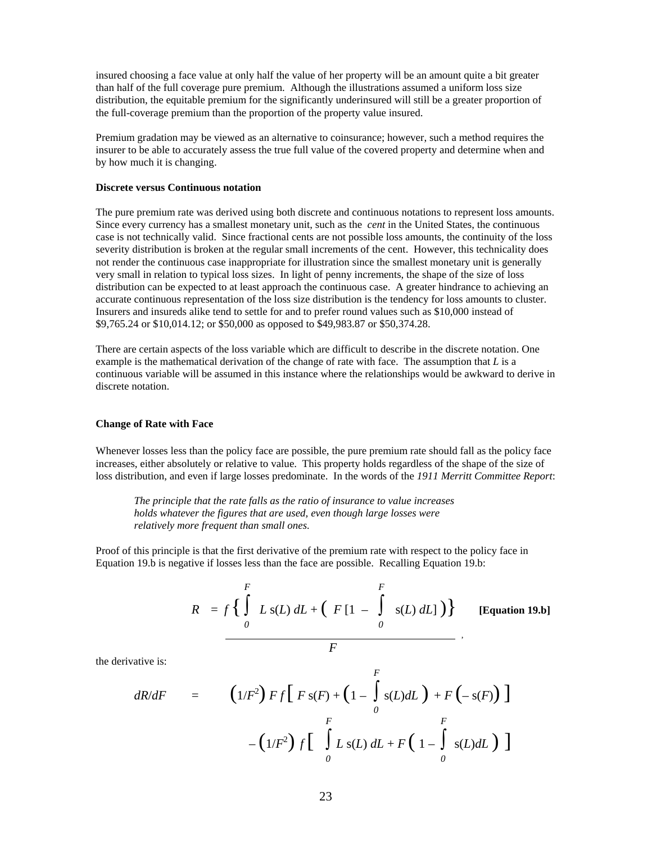insured choosing a face value at only half the value of her property will be an amount quite a bit greater than half of the full coverage pure premium. Although the illustrations assumed a uniform loss size distribution, the equitable premium for the significantly underinsured will still be a greater proportion of the full-coverage premium than the proportion of the property value insured.

Premium gradation may be viewed as an alternative to coinsurance; however, such a method requires the insurer to be able to accurately assess the true full value of the covered property and determine when and by how much it is changing.

### **Discrete versus Continuous notation**

The pure premium rate was derived using both discrete and continuous notations to represent loss amounts. Since every currency has a smallest monetary unit, such as the *cent* in the United States, the continuous case is not technically valid. Since fractional cents are not possible loss amounts, the continuity of the loss severity distribution is broken at the regular small increments of the cent. However, this technicality does not render the continuous case inappropriate for illustration since the smallest monetary unit is generally very small in relation to typical loss sizes. In light of penny increments, the shape of the size of loss distribution can be expected to at least approach the continuous case. A greater hindrance to achieving an accurate continuous representation of the loss size distribution is the tendency for loss amounts to cluster. Insurers and insureds alike tend to settle for and to prefer round values such as \$10,000 instead of \$9,765.24 or \$10,014.12; or \$50,000 as opposed to \$49,983.87 or \$50,374.28.

There are certain aspects of the loss variable which are difficult to describe in the discrete notation. One example is the mathematical derivation of the change of rate with face. The assumption that *L* is a continuous variable will be assumed in this instance where the relationships would be awkward to derive in discrete notation.

#### **Change of Rate with Face**

Whenever losses less than the policy face are possible, the pure premium rate should fall as the policy face increases, either absolutely or relative to value. This property holds regardless of the shape of the size of loss distribution, and even if large losses predominate. In the words of the *1911 Merritt Committee Report*:

*The principle that the rate falls as the ratio of insurance to value increases holds whatever the figures that are used, even though large losses were relatively more frequent than small ones.* 

Proof of this principle is that the first derivative of the premium rate with respect to the policy face in Equation 19.b is negative if losses less than the face are possible. Recalling Equation 19.b:

$$
R = f\left\{\int\limits_{0}^{F} L\,\mathrm{s}(L)\,dL + \left(F\left[1 - \int\limits_{0}^{F}\,\mathrm{s}(L)\,dL\right]\right)\right\} \qquad \text{[Equation 19.b]}
$$

the derivative is:

$$
dR/dF = \left(1/F^2\right) F f \left[F s(F) + \left(1 - \int_0^F s(L) dL\right) + F\left(-s(F)\right)\right]
$$

$$
- \left(1/F^2\right) f \left[\int_0^F L s(L) dL + F\left(1 - \int_0^F s(L) dL\right)\right]
$$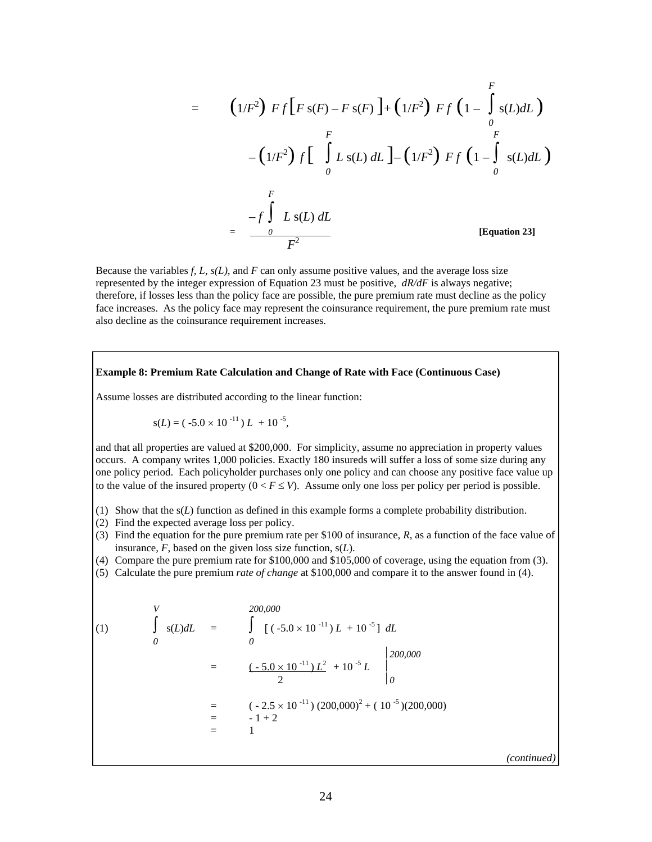$$
= \left(1/F^{2}\right) F f \left[F s(F) - F s(F)\right] + \left(1/F^{2}\right) F f \left(1 - \int_{0}^{F} s(L) dL\right)
$$
  

$$
- \left(1/F^{2}\right) f \left[\int_{0}^{F} L s(L) dL\right] - \left(1/F^{2}\right) F f \left(1 - \int_{0}^{F} s(L) dL\right)
$$
  

$$
= \frac{-f \int_{0}^{F} L s(L) dL}{F^{2}}
$$
 [Equation 23]

Because the variables *f, L, s(L)*, and *F* can only assume positive values, and the average loss size represented by the integer expression of Equation 23 must be positive, *dR/dF* is always negative; therefore, if losses less than the policy face are possible, the pure premium rate must decline as the policy face increases. As the policy face may represent the coinsurance requirement, the pure premium rate must also decline as the coinsurance requirement increases.

## **Example 8: Premium Rate Calculation and Change of Rate with Face (Continuous Case)**

Assume losses are distributed according to the linear function:

$$
s(L) = (-5.0 \times 10^{-11}) L + 10^{-5},
$$

and that all properties are valued at \$200,000. For simplicity, assume no appreciation in property values occurs. A company writes 1,000 policies. Exactly 180 insureds will suffer a loss of some size during any one policy period. Each policyholder purchases only one policy and can choose any positive face value up to the value of the insured property  $(0 \lt F \le V)$ . Assume only one loss per policy per period is possible.

- (1) Show that the s(*L*) function as defined in this example forms a complete probability distribution.
- (2) Find the expected average loss per policy.
- (3) Find the equation for the pure premium rate per \$100 of insurance, *R*, as a function of the face value of insurance, *F*, based on the given loss size function, s(*L*).
- (4) Compare the pure premium rate for \$100,000 and \$105,000 of coverage, using the equation from (3).
- (5) Calculate the pure premium *rate of change* at \$100,000 and compare it to the answer found in (4).

(1)  
\n
$$
\int_{0}^{V} s(L) dL = \int_{0}^{200,000} [(-5.0 \times 10^{-11}) L + 10^{-5}] dL
$$
\n
$$
= \left[\frac{(-5.0 \times 10^{-11}) L^{2}}{2} + 10^{-5} L\right]_{0}^{200,000}
$$
\n
$$
= (-2.5 \times 10^{-11}) (200,000)^{2} + (10^{-5}) (200,000)
$$
\n
$$
= -1 + 2
$$

*(continued)*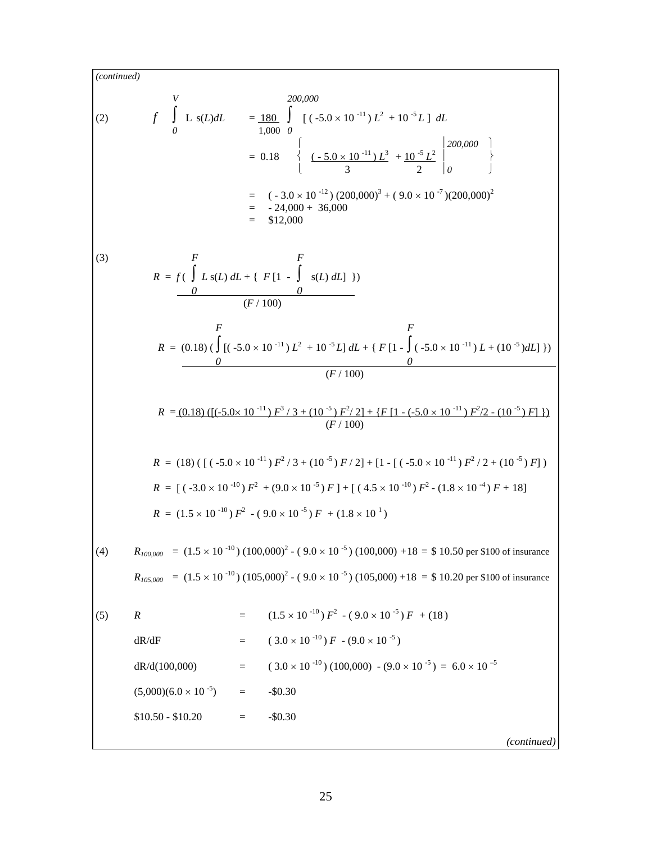$$
F \int_{0}^{V} L s(L) dL = \frac{180}{1,000} \int_{0}^{V} [(-5.0 \times 10^{-11}) L^{2} + 10^{-3} L] dL
$$
  
\n
$$
= 0.18 \begin{cases} \frac{1}{25.0 \times 10^{-11}} \sum_{1}^{2} + \frac{10^{-5} L^{2}}{3} \end{cases} \begin{cases} 200,000 \\ 200,000 \end{cases}
$$
  
\n
$$
= (-3.0 \times 10^{-12}) (200,000)^{3} + (9.0 \times 10^{-7}) (200,000)^{2}
$$
  
\n
$$
= -24,000 + 36,000
$$
  
\n
$$
= 512,000
$$
  
\n(3)  
\n
$$
R = f(\int L s(L) dL + [F[1 - \int s(L) dL]])
$$
  
\n
$$
\frac{F}{(F/100)}
$$
  
\n
$$
R = \frac{(0.18) (\int [(-5.0 \times 10^{-11}) L^{2} + 10^{-5} L] dL + [F[1 - \int (-5.0 \times 10^{-11}) L + (10^{-5}) dL])]}{(F/100)}
$$
  
\n
$$
R = \frac{(0.18) (((-5.0 \times 10^{-11}) F^{3}/3 + (10^{-5}) F^{2}/2] + [F[1 - (-5.0 \times 10^{-11}) F^{3}/2 + (10^{-5}) F])]}{(F/100)}
$$
  
\n
$$
R = [1.30 \times [10^{-10}) F^{2} + (9.0 \times 10^{-5}) F] + [(4.5 \times 10^{-10}) F^{2} - (1.8 \times 10^{-4}) F + 18]
$$
  
\n
$$
R = (1.5 \times 10^{-10}) F^{2} + (9.0 \times 10^{-5}) F] + [(4.5 \times 10^{-10}) F^{2} - (1.8 \times 10^{-4}) F + 18]
$$
  
\n
$$
R = (1.5 \times 10^{-10}) F^{2} - (9.0 \times 10^{-5}) (100,000) + 18 = 510.50 \text{ per
$$

*(continued)*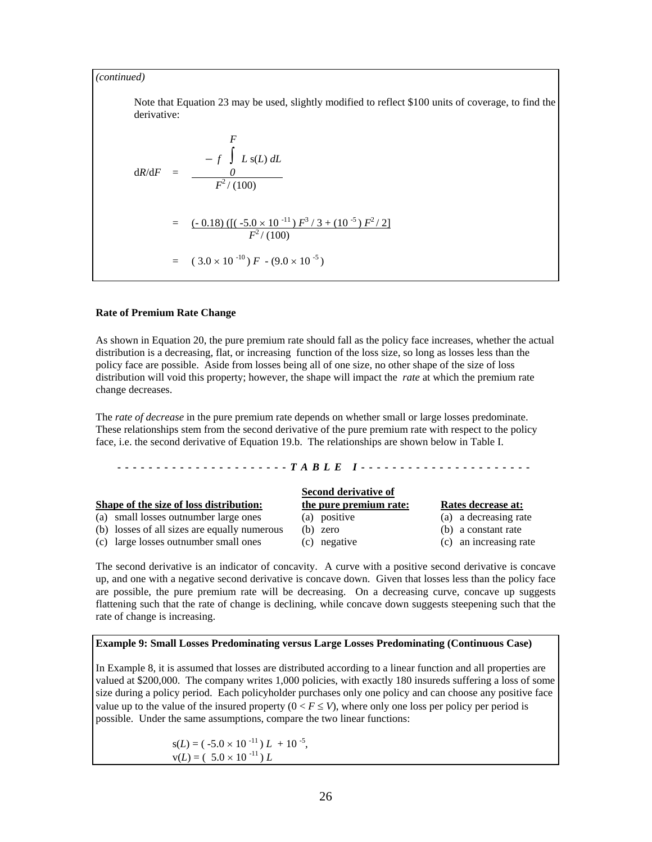Note that Equation 23 may be used, slightly modified to reflect \$100 units of coverage, to find the derivative:

$$
dR/dF = -f \int L s(L) dL
$$
  
\n
$$
dR/dF = \frac{0}{F^2/(100)}
$$
  
\n
$$
= (-0.18) ([(-5.0 \times 10^{-11}) F^3 / 3 + (10^{-5}) F^2 / 2]
$$
  
\n
$$
F^2 / (100)
$$
  
\n
$$
= (3.0 \times 10^{-10}) F - (9.0 \times 10^{-5})
$$

#### **Rate of Premium Rate Change**

As shown in Equation 20, the pure premium rate should fall as the policy face increases, whether the actual distribution is a decreasing, flat, or increasing function of the loss size, so long as losses less than the policy face are possible. Aside from losses being all of one size, no other shape of the size of loss distribution will void this property; however, the shape will impact the *rate* at which the premium rate change decreases.

The *rate of decrease* in the pure premium rate depends on whether small or large losses predominate.<br>These relationships stem from the second derivative of the pure premium rate with respect to the policy face, i.e. the second derivative of Equation 19.b. The relationships are shown below in Table I.

#### **----------------------** *TABLE I* **----------------------**

| Second derivative of                                                                                                                                                      |                        |  |  |  |  |
|---------------------------------------------------------------------------------------------------------------------------------------------------------------------------|------------------------|--|--|--|--|
| the pure premium rate:                                                                                                                                                    | Rates decrease at:     |  |  |  |  |
| (a) positive                                                                                                                                                              | (a) a decreasing rate  |  |  |  |  |
| (b) zero                                                                                                                                                                  | (b) a constant rate    |  |  |  |  |
| (c) negative                                                                                                                                                              | (c) an increasing rate |  |  |  |  |
| Shape of the size of loss distribution:<br>(a) small losses outnumber large ones<br>(b) losses of all sizes are equally numerous<br>(c) large losses outnumber small ones |                        |  |  |  |  |

The second derivative is an indicator of concavity. A curve with a positive second derivative is concave up, and one with a negative second derivative is concave down. Given that losses less than the policy face are possible, the pure premium rate will be decreasing. On a decreasing curve, concave up suggests flattening such that the rate of change is declining, while concave down suggests steepening such that the rate of change is increasing.

#### **Example 9: Small Losses Predominating versus Large Losses Predominating (Continuous Case)**

In Example 8, it is assumed that losses are distributed according to a linear function and all properties are valued at \$200,000. The company writes 1,000 policies, with exactly 180 insureds suffering a loss of some size during a policy period. Each policyholder purchases only one policy and can choose any positive face value up to the value of the insured property  $(0 < F \le V)$ , where only one loss per policy per period is possible. Under the same assumptions, compare the two linear functions:

> $s(L) = (-5.0 \times 10^{-11}) L + 10^{-5}$ ,  $v(L) = (5.0 \times 10^{-11}) L$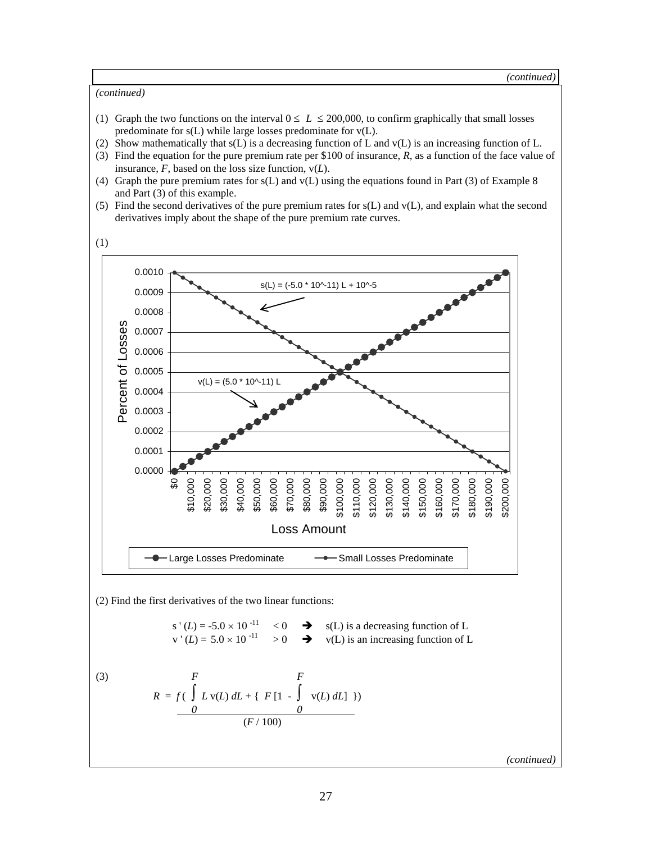- (1) Graph the two functions on the interval  $0 \le L \le 200,000$ , to confirm graphically that small losses predominate for s(L) while large losses predominate for v(L).
- (2) Show mathematically that  $s(L)$  is a decreasing function of L and  $v(L)$  is an increasing function of L.
- (3) Find the equation for the pure premium rate per \$100 of insurance, *R*, as a function of the face value of insurance,  $\overline{F}$ , based on the loss size function,  $v(L)$ .
- (4) Graph the pure premium rates for s(L) and v(L) using the equations found in Part (3) of Example 8 and Part (3) of this example.
- (5) Find the second derivatives of the pure premium rates for  $s(L)$  and  $v(L)$ , and explain what the second derivatives imply about the shape of the pure premium rate curves.



(2) Find the first derivatives of the two linear functions:

s' (L) = -5.0 × 10<sup>-11</sup> 
$$
\langle
$$
 0  $\rightarrow$  s(L) is a decreasing function of L  
v' (L) = 5.0 × 10<sup>-11</sup>  $>$  0  $\rightarrow$  v(L) is an increasing function of L

(3) 
$$
F = f\left(\int_{0}^{F} L \, v(L) \, dL + \{F[1 - \int_{0}^{F} v(L) \, dL] \}\right)
$$

*(continued)*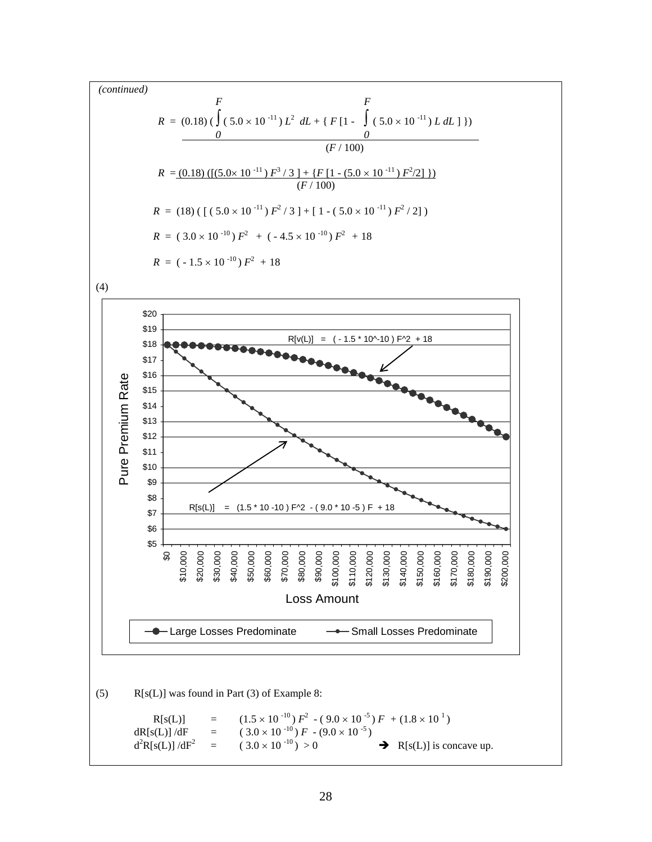$$
F
$$
\n
$$
R = (0.18) \left( \int (5.0 \times 10^{-11}) L^2 \ dL + \{ F [1 - \int (5.0 \times 10^{-11}) L \ dL \}] \right)
$$
\n
$$
= \frac{0}{(F/100)}
$$
\n
$$
R = (0.18) \left( \left[ (5.0 \times 10^{-11}) F^3 / 3 \right] + \left\{ F [1 - (5.0 \times 10^{-11}) F^2 / 2] \right\} \right)
$$
\n
$$
= (18) \left( \left[ (5.0 \times 10^{-11}) F^2 / 3 \right] + \left[ 1 - (5.0 \times 10^{-11}) F^2 / 2 \right] \right)
$$
\n
$$
R = (3.0 \times 10^{-10}) F^2 + (-4.5 \times 10^{-10}) F^2 + 18
$$
\n
$$
R = (-1.5 \times 10^{-10}) F^2 + 18
$$

(4)



(5) R[s(L)] was found in Part (3) of Example 8:

R[s(L)] = 
$$
(1.5 \times 10^{-10}) F^2 - (9.0 \times 10^{-5}) F + (1.8 \times 10^{-1})
$$
  
\ndR[s(L)]/dF =  $(3.0 \times 10^{-10}) F - (9.0 \times 10^{-5})$   
\nd<sup>2</sup>R[s(L)]/dF<sup>2</sup> =  $(3.0 \times 10^{-10}) > 0$  → R[s(L)] is concave up.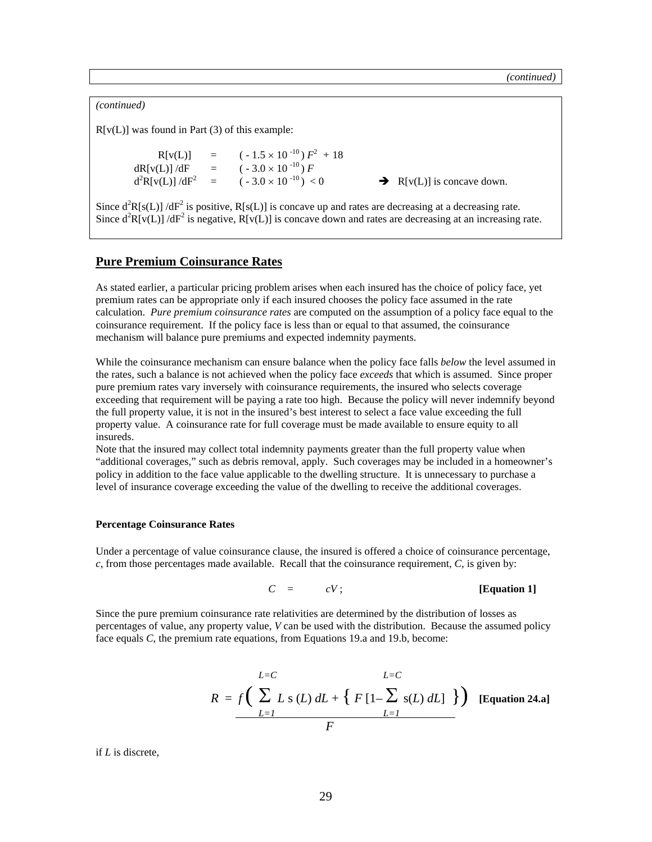*(continued)*   $R[v(L)]$  was found in Part (3) of this example:  $R[v(L)] = (-1.5 \times 10^{-10}) F^2 + 18$ dR[v(L)] /dF =  $(-3.0 \times 10^{-10})$  *F*<br>d<sup>2</sup>R[v(L)] /dF<sup>2</sup> =  $(-3.0 \times 10^{-10})$  < 0  $d^2R[v(L)]/dF^2$  $\rightarrow$  R[v(L)] is concave down. Since  $d^2R[s(L)]$  /dF<sup>2</sup> is positive, R[s(L)] is concave up and rates are decreasing at a decreasing rate.

Since  $d^2R[v(L)]/dF^2$  is negative,  $R[v(L)]$  is concave down and rates are decreasing at an increasing rate.

## **Pure Premium Coinsurance Rates**

As stated earlier, a particular pricing problem arises when each insured has the choice of policy face, yet premium rates can be appropriate only if each insured chooses the policy face assumed in the rate calculation. *Pure premium coinsurance rates* are computed on the assumption of a policy face equal to the coinsurance requirement. If the policy face is less than or equal to that assumed, the coinsurance mechanism will balance pure premiums and expected indemnity payments.

While the coinsurance mechanism can ensure balance when the policy face falls *below* the level assumed in the rates, such a balance is not achieved when the policy face *exceeds* that which is assumed. Since proper pure premium rates vary inversely with coinsurance requirements, the insured who selects coverage exceeding that requirement will be paying a rate too high. Because the policy will never indemnify beyond the full property value, it is not in the insured's best interest to select a face value exceeding the full property value. A coinsurance rate for full coverage must be made available to ensure equity to all insureds.

Note that the insured may collect total indemnity payments greater than the full property value when "additional coverages," such as debris removal, apply. Such coverages may be included in a homeowner's policy in addition to the face value applicable to the dwelling structure. It is unnecessary to purchase a level of insurance coverage exceeding the value of the dwelling to receive the additional coverages.

#### **Percentage Coinsurance Rates**

Under a percentage of value coinsurance clause, the insured is offered a choice of coinsurance percentage, *c*, from those percentages made available. Recall that the coinsurance requirement, *C*, is given by:

$$
C = cV;
$$
 [Equation 1]

Since the pure premium coinsurance rate relativities are determined by the distribution of losses as percentages of value, any property value, *V* can be used with the distribution. Because the assumed policy face equals *C*, the premium rate equations, from Equations 19.a and 19.b, become:

$$
R = f\left(\sum_{L=1}^{L=C} L s(L) dL + \left\{F\left[1-\sum_{L=1}^{L} s(L) dL\right]\right\}\right)
$$
 [Equation 24.a]

if *L* is discrete,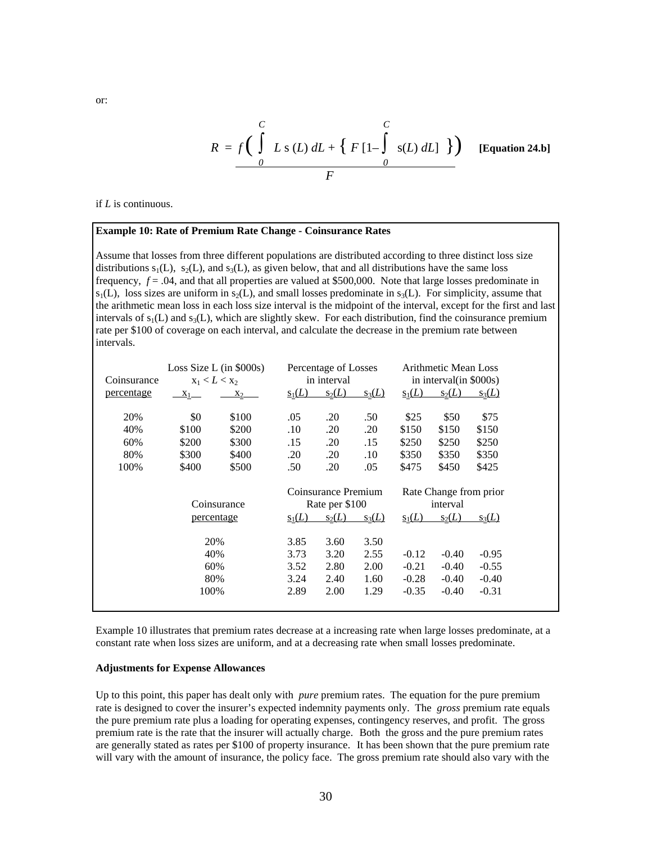$$
R = f\left(\int_{0}^{C} L s(L) dL + \left\{F[1-\int_{0}^{C} s(L) dL\right]\right\}\right)
$$
 [Equation 24.b]

if *L* is continuous.

#### **Example 10: Rate of Premium Rate Change - Coinsurance Rates**

Assume that losses from three different populations are distributed according to three distinct loss size distributions  $s_1(L)$ ,  $s_2(L)$ , and  $s_3(L)$ , as given below, that and all distributions have the same loss frequency, *f* = .04, and that all properties are valued at \$500,000. Note that large losses predominate in  $s_1(L)$ , loss sizes are uniform in  $s_2(L)$ , and small losses predominate in  $s_3(L)$ . For simplicity, assume that the arithmetic mean loss in each loss size interval is the midpoint of the interval, except for the first and last intervals of  $s_1(L)$  and  $s_3(L)$ , which are slightly skew. For each distribution, find the coinsurance premium rate per \$100 of coverage on each interval, and calculate the decrease in the premium rate between intervals.

| Coinsurance |       | Loss Size L (in $$000s)$ )<br>$x_1 < L < x_2$ |          | Percentage of Losses<br>in interval |          |          | <b>Arithmetic Mean Loss</b><br>in interval (in \$000s) |          |
|-------------|-------|-----------------------------------------------|----------|-------------------------------------|----------|----------|--------------------------------------------------------|----------|
| percentage  | $X_1$ | $x_2$                                         | $s_1(L)$ | $s_2(L)$                            | $s_3(L)$ | $s_1(L)$ | $s_2(L)$                                               | $s_3(L)$ |
| 20%         | \$0   | \$100                                         | .05      | .20                                 | .50      | \$25     | \$50                                                   | \$75     |
| 40%         | \$100 | \$200                                         | .10      | .20                                 | .20      | \$150    | \$150                                                  | \$150    |
| 60%         | \$200 | \$300                                         | .15      | .20                                 | .15      | \$250    | \$250                                                  | \$250    |
| 80%         | \$300 | \$400                                         | .20      | .20                                 | .10      | \$350    | \$350                                                  | \$350    |
| 100%        | \$400 | \$500                                         | .50      | .20                                 | .05      | \$475    | \$450                                                  | \$425    |
|             |       |                                               |          |                                     |          |          |                                                        |          |
|             |       |                                               |          | Coinsurance Premium                 |          |          | Rate Change from prior                                 |          |
|             |       | Coinsurance                                   |          | Rate per \$100                      |          |          | interval                                               |          |
|             |       | percentage                                    | $s_1(L)$ | $s_2(L)$                            | $s_3(L)$ | $s_1(L)$ | $s_2(L)$                                               | $s_3(L)$ |
|             |       | 20%                                           | 3.85     | 3.60                                | 3.50     |          |                                                        |          |
|             |       | 40%                                           | 3.73     | 3.20                                | 2.55     | $-0.12$  | $-0.40$                                                | $-0.95$  |
|             |       | 60%                                           | 3.52     | 2.80                                | 2.00     | $-0.21$  | $-0.40$                                                | $-0.55$  |
|             |       | 80%                                           | 3.24     | 2.40                                | 1.60     | $-0.28$  | $-0.40$                                                | $-0.40$  |
|             | 100%  |                                               | 2.89     | 2.00                                | 1.29     | $-0.35$  | $-0.40$                                                | $-0.31$  |

Example 10 illustrates that premium rates decrease at a increasing rate when large losses predominate, at a constant rate when loss sizes are uniform, and at a decreasing rate when small losses predominate.

#### **Adjustments for Expense Allowances**

Up to this point, this paper has dealt only with *pure* premium rates. The equation for the pure premium rate is designed to cover the insurer's expected indemnity payments only. The *gross* premium rate equals the pure premium rate plus a loading for operating expenses, contingency reserves, and profit. The gross premium rate is the rate that the insurer will actually charge. Both the gross and the pure premium rates are generally stated as rates per \$100 of property insurance. It has been shown that the pure premium rate will vary with the amount of insurance, the policy face. The gross premium rate should also vary with the

or: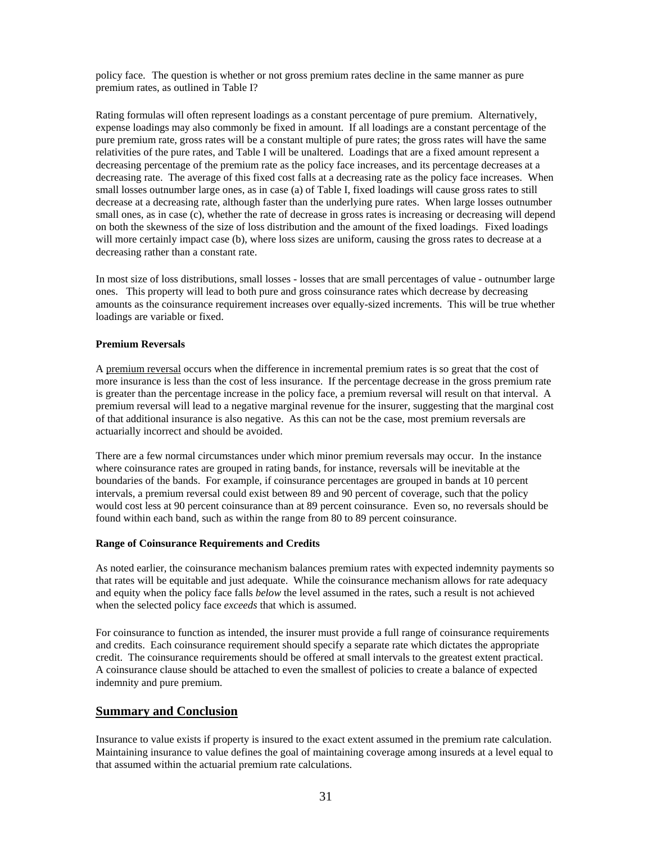policy face. The question is whether or not gross premium rates decline in the same manner as pure premium rates, as outlined in Table I?

Rating formulas will often represent loadings as a constant percentage of pure premium. Alternatively, expense loadings may also commonly be fixed in amount. If all loadings are a constant percentage of the pure premium rate, gross rates will be a constant multiple of pure rates; the gross rates will have the same relativities of the pure rates, and Table I will be unaltered. Loadings that are a fixed amount represent a decreasing percentage of the premium rate as the policy face increases, and its percentage decreases at a decreasing rate. The average of this fixed cost falls at a decreasing rate as the policy face increases. When small losses outnumber large ones, as in case (a) of Table I, fixed loadings will cause gross rates to still decrease at a decreasing rate, although faster than the underlying pure rates. When large losses outnumber small ones, as in case (c), whether the rate of decrease in gross rates is increasing or decreasing will depend on both the skewness of the size of loss distribution and the amount of the fixed loadings. Fixed loadings will more certainly impact case (b), where loss sizes are uniform, causing the gross rates to decrease at a decreasing rather than a constant rate.

In most size of loss distributions, small losses - losses that are small percentages of value - outnumber large ones. This property will lead to both pure and gross coinsurance rates which decrease by decreasing amounts as the coinsurance requirement increases over equally-sized increments. This will be true whether loadings are variable or fixed.

### **Premium Reversals**

A premium reversal occurs when the difference in incremental premium rates is so great that the cost of more insurance is less than the cost of less insurance. If the percentage decrease in the gross premium rate is greater than the percentage increase in the policy face, a premium reversal will result on that interval. A premium reversal will lead to a negative marginal revenue for the insurer, suggesting that the marginal cost of that additional insurance is also negative. As this can not be the case, most premium reversals are actuarially incorrect and should be avoided.

There are a few normal circumstances under which minor premium reversals may occur. In the instance where coinsurance rates are grouped in rating bands, for instance, reversals will be inevitable at the boundaries of the bands. For example, if coinsurance percentages are grouped in bands at 10 percent intervals, a premium reversal could exist between 89 and 90 percent of coverage, such that the policy would cost less at 90 percent coinsurance than at 89 percent coinsurance. Even so, no reversals should be found within each band, such as within the range from 80 to 89 percent coinsurance.

#### **Range of Coinsurance Requirements and Credits**

As noted earlier, the coinsurance mechanism balances premium rates with expected indemnity payments so that rates will be equitable and just adequate. While the coinsurance mechanism allows for rate adequacy and equity when the policy face falls *below* the level assumed in the rates, such a result is not achieved when the selected policy face *exceeds* that which is assumed.

For coinsurance to function as intended, the insurer must provide a full range of coinsurance requirements and credits. Each coinsurance requirement should specify a separate rate which dictates the appropriate credit. The coinsurance requirements should be offered at small intervals to the greatest extent practical. A coinsurance clause should be attached to even the smallest of policies to create a balance of expected indemnity and pure premium.

## **Summary and Conclusion**

Insurance to value exists if property is insured to the exact extent assumed in the premium rate calculation. Maintaining insurance to value defines the goal of maintaining coverage among insureds at a level equal to that assumed within the actuarial premium rate calculations.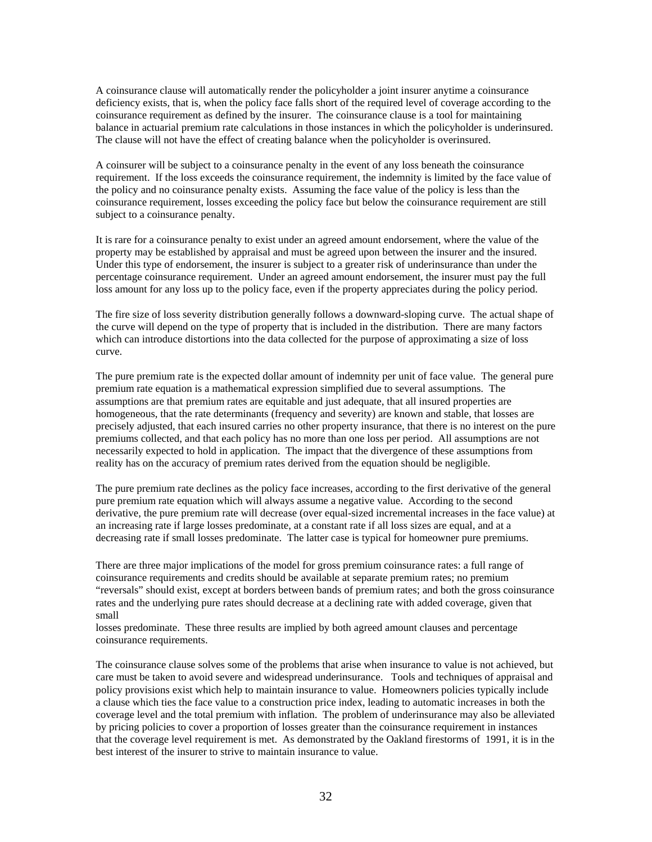A coinsurance clause will automatically render the policyholder a joint insurer anytime a coinsurance deficiency exists, that is, when the policy face falls short of the required level of coverage according to the coinsurance requirement as defined by the insurer. The coinsurance clause is a tool for maintaining balance in actuarial premium rate calculations in those instances in which the policyholder is underinsured. The clause will not have the effect of creating balance when the policyholder is overinsured.

A coinsurer will be subject to a coinsurance penalty in the event of any loss beneath the coinsurance requirement. If the loss exceeds the coinsurance requirement, the indemnity is limited by the face value of the policy and no coinsurance penalty exists. Assuming the face value of the policy is less than the coinsurance requirement, losses exceeding the policy face but below the coinsurance requirement are still subject to a coinsurance penalty.

It is rare for a coinsurance penalty to exist under an agreed amount endorsement, where the value of the property may be established by appraisal and must be agreed upon between the insurer and the insured. Under this type of endorsement, the insurer is subject to a greater risk of underinsurance than under the percentage coinsurance requirement. Under an agreed amount endorsement, the insurer must pay the full loss amount for any loss up to the policy face, even if the property appreciates during the policy period.

The fire size of loss severity distribution generally follows a downward-sloping curve. The actual shape of the curve will depend on the type of property that is included in the distribution. There are many factors which can introduce distortions into the data collected for the purpose of approximating a size of loss curve.

The pure premium rate is the expected dollar amount of indemnity per unit of face value. The general pure premium rate equation is a mathematical expression simplified due to several assumptions. The assumptions are that premium rates are equitable and just adequate, that all insured properties are homogeneous, that the rate determinants (frequency and severity) are known and stable, that losses are precisely adjusted, that each insured carries no other property insurance, that there is no interest on the pure premiums collected, and that each policy has no more than one loss per period. All assumptions are not necessarily expected to hold in application. The impact that the divergence of these assumptions from reality has on the accuracy of premium rates derived from the equation should be negligible.

The pure premium rate declines as the policy face increases, according to the first derivative of the general pure premium rate equation which will always assume a negative value. According to the second derivative, the pure premium rate will decrease (over equal-sized incremental increases in the face value) at an increasing rate if large losses predominate, at a constant rate if all loss sizes are equal, and at a decreasing rate if small losses predominate. The latter case is typical for homeowner pure premiums.

There are three major implications of the model for gross premium coinsurance rates: a full range of coinsurance requirements and credits should be available at separate premium rates; no premium "reversals" should exist, except at borders between bands of premium rates; and both the gross coinsurance rates and the underlying pure rates should decrease at a declining rate with added coverage, given that small

losses predominate. These three results are implied by both agreed amount clauses and percentage coinsurance requirements.

The coinsurance clause solves some of the problems that arise when insurance to value is not achieved, but care must be taken to avoid severe and widespread underinsurance. Tools and techniques of appraisal and policy provisions exist which help to maintain insurance to value. Homeowners policies typically include a clause which ties the face value to a construction price index, leading to automatic increases in both the coverage level and the total premium with inflation. The problem of underinsurance may also be alleviated by pricing policies to cover a proportion of losses greater than the coinsurance requirement in instances that the coverage level requirement is met. As demonstrated by the Oakland firestorms of 1991, it is in the best interest of the insurer to strive to maintain insurance to value.